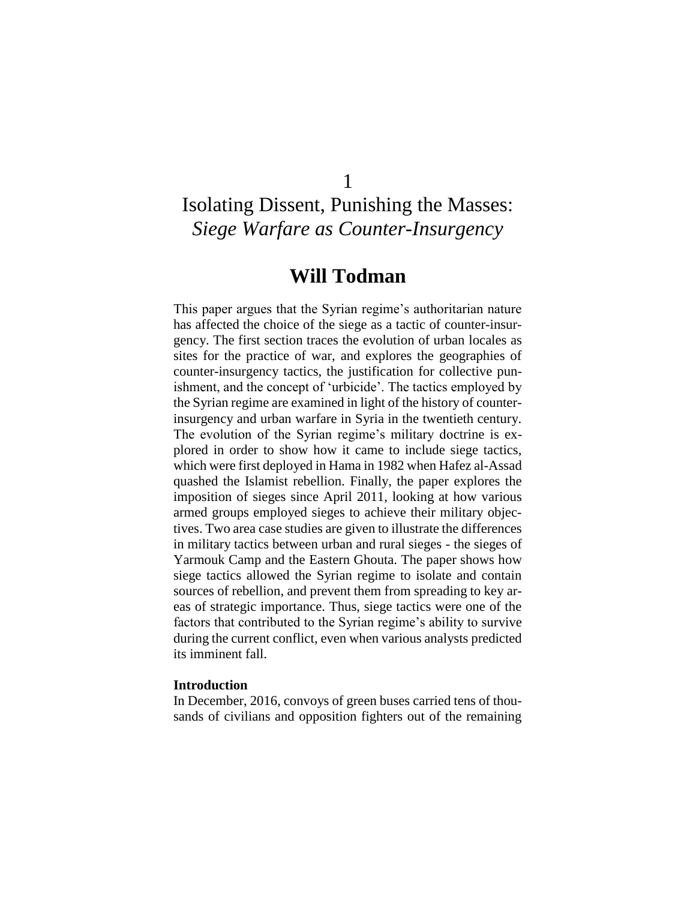## 1

# Isolating Dissent, Punishing the Masses: *Siege Warfare as Counter-Insurgency*

## **Will Todman**

This paper argues that the Syrian regime's authoritarian nature has affected the choice of the siege as a tactic of counter-insurgency. The first section traces the evolution of urban locales as sites for the practice of war, and explores the geographies of counter-insurgency tactics, the justification for collective punishment, and the concept of 'urbicide'. The tactics employed by the Syrian regime are examined in light of the history of counterinsurgency and urban warfare in Syria in the twentieth century. The evolution of the Syrian regime's military doctrine is explored in order to show how it came to include siege tactics, which were first deployed in Hama in 1982 when Hafez al-Assad quashed the Islamist rebellion. Finally, the paper explores the imposition of sieges since April 2011, looking at how various armed groups employed sieges to achieve their military objectives. Two area case studies are given to illustrate the differences in military tactics between urban and rural sieges - the sieges of Yarmouk Camp and the Eastern Ghouta. The paper shows how siege tactics allowed the Syrian regime to isolate and contain sources of rebellion, and prevent them from spreading to key areas of strategic importance. Thus, siege tactics were one of the factors that contributed to the Syrian regime's ability to survive during the current conflict, even when various analysts predicted its imminent fall.

#### **Introduction**

In December, 2016, convoys of green buses carried tens of thousands of civilians and opposition fighters out of the remaining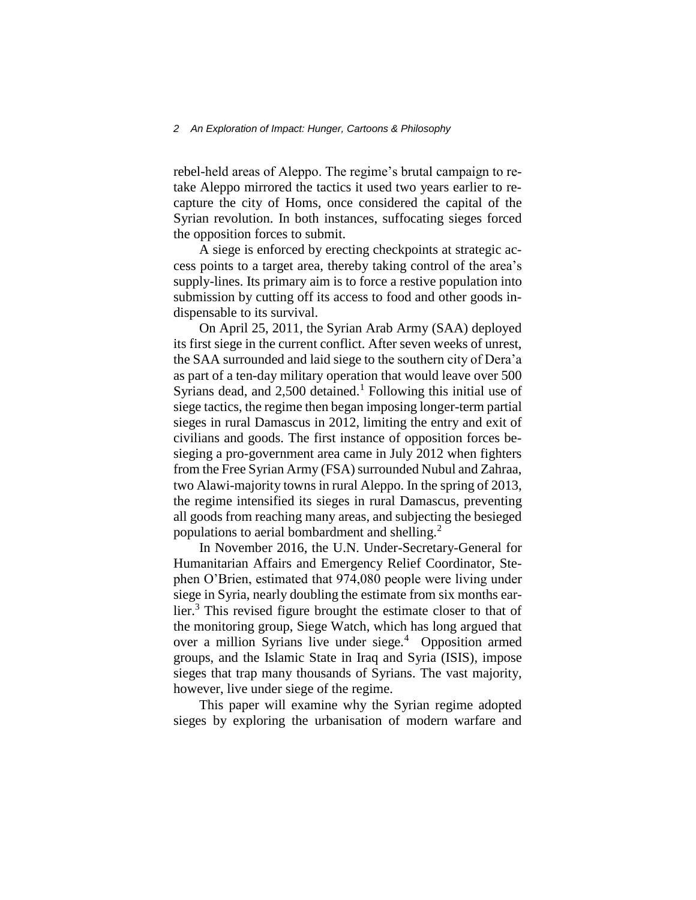rebel-held areas of Aleppo. The regime's brutal campaign to retake Aleppo mirrored the tactics it used two years earlier to recapture the city of Homs, once considered the capital of the Syrian revolution. In both instances, suffocating sieges forced the opposition forces to submit.

A siege is enforced by erecting checkpoints at strategic access points to a target area, thereby taking control of the area's supply-lines. Its primary aim is to force a restive population into submission by cutting off its access to food and other goods indispensable to its survival.

On April 25, 2011, the Syrian Arab Army (SAA) deployed its first siege in the current conflict. After seven weeks of unrest, the SAA surrounded and laid siege to the southern city of Dera'a as part of a ten-day military operation that would leave over 500 Syrians dead, and  $2,500$  detained.<sup>1</sup> Following this initial use of siege tactics, the regime then began imposing longer-term partial sieges in rural Damascus in 2012, limiting the entry and exit of civilians and goods. The first instance of opposition forces besieging a pro-government area came in July 2012 when fighters from the Free Syrian Army (FSA) surrounded Nubul and Zahraa, two Alawi-majority towns in rural Aleppo. In the spring of 2013, the regime intensified its sieges in rural Damascus, preventing all goods from reaching many areas, and subjecting the besieged populations to aerial bombardment and shelling.<sup>2</sup>

In November 2016, the U.N. Under-Secretary-General for Humanitarian Affairs and Emergency Relief Coordinator, Stephen O'Brien, estimated that 974,080 people were living under siege in Syria, nearly doubling the estimate from six months earlier.<sup>3</sup> This revised figure brought the estimate closer to that of the monitoring group, Siege Watch, which has long argued that over a million Syrians live under siege.<sup>4</sup> Opposition armed groups, and the Islamic State in Iraq and Syria (ISIS), impose sieges that trap many thousands of Syrians. The vast majority, however, live under siege of the regime.

This paper will examine why the Syrian regime adopted sieges by exploring the urbanisation of modern warfare and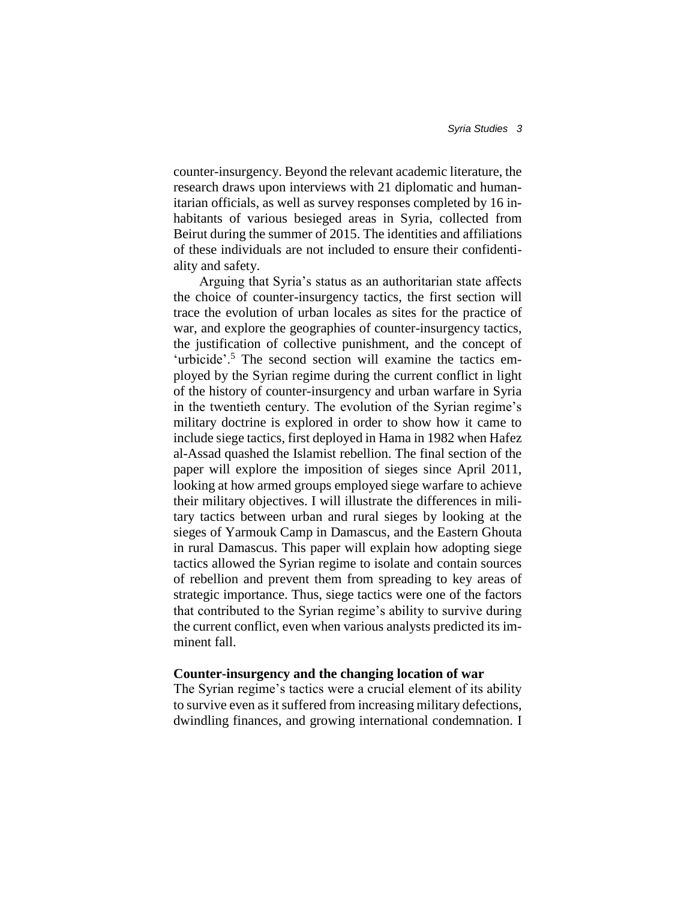counter-insurgency. Beyond the relevant academic literature, the research draws upon interviews with 21 diplomatic and humanitarian officials, as well as survey responses completed by 16 inhabitants of various besieged areas in Syria, collected from Beirut during the summer of 2015. The identities and affiliations of these individuals are not included to ensure their confidentiality and safety.

Arguing that Syria's status as an authoritarian state affects the choice of counter-insurgency tactics, the first section will trace the evolution of urban locales as sites for the practice of war, and explore the geographies of counter-insurgency tactics, the justification of collective punishment, and the concept of 'urbicide'.<sup>5</sup> The second section will examine the tactics employed by the Syrian regime during the current conflict in light of the history of counter-insurgency and urban warfare in Syria in the twentieth century. The evolution of the Syrian regime's military doctrine is explored in order to show how it came to include siege tactics, first deployed in Hama in 1982 when Hafez al-Assad quashed the Islamist rebellion. The final section of the paper will explore the imposition of sieges since April 2011, looking at how armed groups employed siege warfare to achieve their military objectives. I will illustrate the differences in military tactics between urban and rural sieges by looking at the sieges of Yarmouk Camp in Damascus, and the Eastern Ghouta in rural Damascus. This paper will explain how adopting siege tactics allowed the Syrian regime to isolate and contain sources of rebellion and prevent them from spreading to key areas of strategic importance. Thus, siege tactics were one of the factors that contributed to the Syrian regime's ability to survive during the current conflict, even when various analysts predicted its imminent fall.

#### **Counter-insurgency and the changing location of war**

The Syrian regime's tactics were a crucial element of its ability to survive even as it suffered from increasing military defections, dwindling finances, and growing international condemnation. I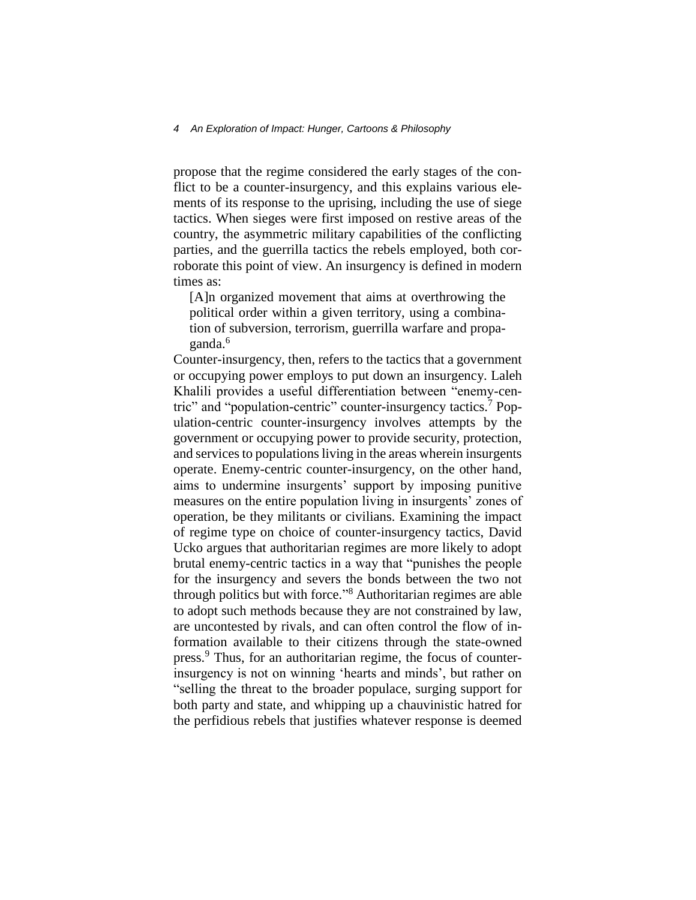#### *4 An Exploration of Impact: Hunger, Cartoons & Philosophy*

propose that the regime considered the early stages of the conflict to be a counter-insurgency, and this explains various elements of its response to the uprising, including the use of siege tactics. When sieges were first imposed on restive areas of the country, the asymmetric military capabilities of the conflicting parties, and the guerrilla tactics the rebels employed, both corroborate this point of view. An insurgency is defined in modern times as:

[A]n organized movement that aims at overthrowing the political order within a given territory, using a combination of subversion, terrorism, guerrilla warfare and propaganda.<sup>6</sup>

Counter-insurgency, then, refers to the tactics that a government or occupying power employs to put down an insurgency. Laleh Khalili provides a useful differentiation between "enemy-centric" and "population-centric" counter-insurgency tactics.<sup>7</sup> Population-centric counter-insurgency involves attempts by the government or occupying power to provide security, protection, and services to populations living in the areas wherein insurgents operate. Enemy-centric counter-insurgency, on the other hand, aims to undermine insurgents' support by imposing punitive measures on the entire population living in insurgents' zones of operation, be they militants or civilians. Examining the impact of regime type on choice of counter-insurgency tactics, David Ucko argues that authoritarian regimes are more likely to adopt brutal enemy-centric tactics in a way that "punishes the people for the insurgency and severs the bonds between the two not through politics but with force." <sup>8</sup> Authoritarian regimes are able to adopt such methods because they are not constrained by law, are uncontested by rivals, and can often control the flow of information available to their citizens through the state-owned press.<sup>9</sup> Thus, for an authoritarian regime, the focus of counterinsurgency is not on winning 'hearts and minds', but rather on "selling the threat to the broader populace, surging support for both party and state, and whipping up a chauvinistic hatred for the perfidious rebels that justifies whatever response is deemed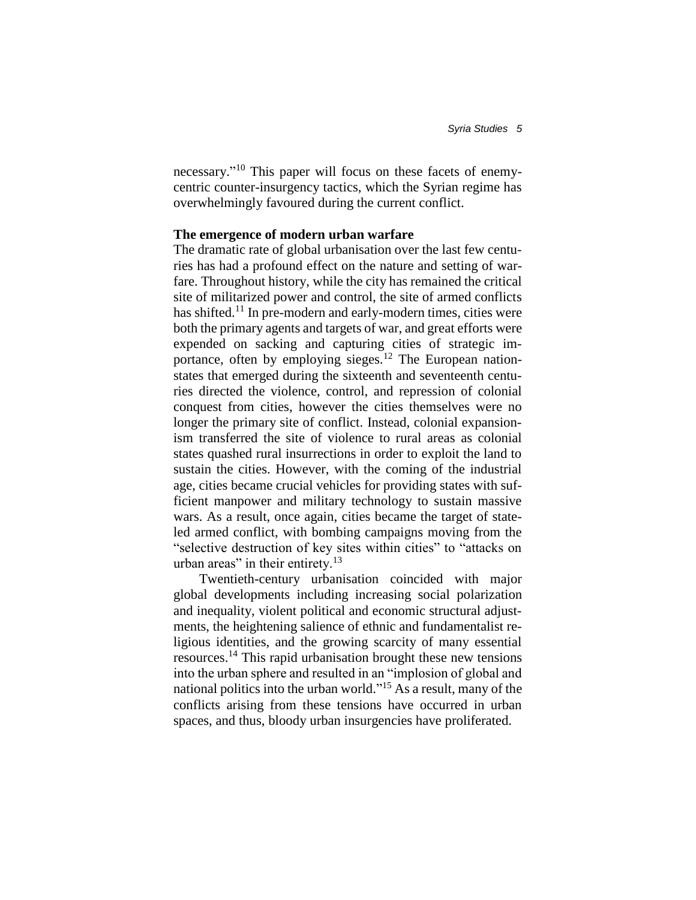necessary." <sup>10</sup> This paper will focus on these facets of enemycentric counter-insurgency tactics, which the Syrian regime has overwhelmingly favoured during the current conflict.

#### **The emergence of modern urban warfare**

The dramatic rate of global urbanisation over the last few centuries has had a profound effect on the nature and setting of warfare. Throughout history, while the city has remained the critical site of militarized power and control, the site of armed conflicts has shifted.<sup>11</sup> In pre-modern and early-modern times, cities were both the primary agents and targets of war, and great efforts were expended on sacking and capturing cities of strategic importance, often by employing sieges.<sup>12</sup> The European nationstates that emerged during the sixteenth and seventeenth centuries directed the violence, control, and repression of colonial conquest from cities, however the cities themselves were no longer the primary site of conflict. Instead, colonial expansionism transferred the site of violence to rural areas as colonial states quashed rural insurrections in order to exploit the land to sustain the cities. However, with the coming of the industrial age, cities became crucial vehicles for providing states with sufficient manpower and military technology to sustain massive wars. As a result, once again, cities became the target of stateled armed conflict, with bombing campaigns moving from the "selective destruction of key sites within cities" to "attacks on urban areas" in their entirety.<sup>13</sup>

Twentieth-century urbanisation coincided with major global developments including increasing social polarization and inequality, violent political and economic structural adjustments, the heightening salience of ethnic and fundamentalist religious identities, and the growing scarcity of many essential resources.<sup>14</sup> This rapid urbanisation brought these new tensions into the urban sphere and resulted in an "implosion of global and national politics into the urban world." <sup>15</sup> As a result, many of the conflicts arising from these tensions have occurred in urban spaces, and thus, bloody urban insurgencies have proliferated.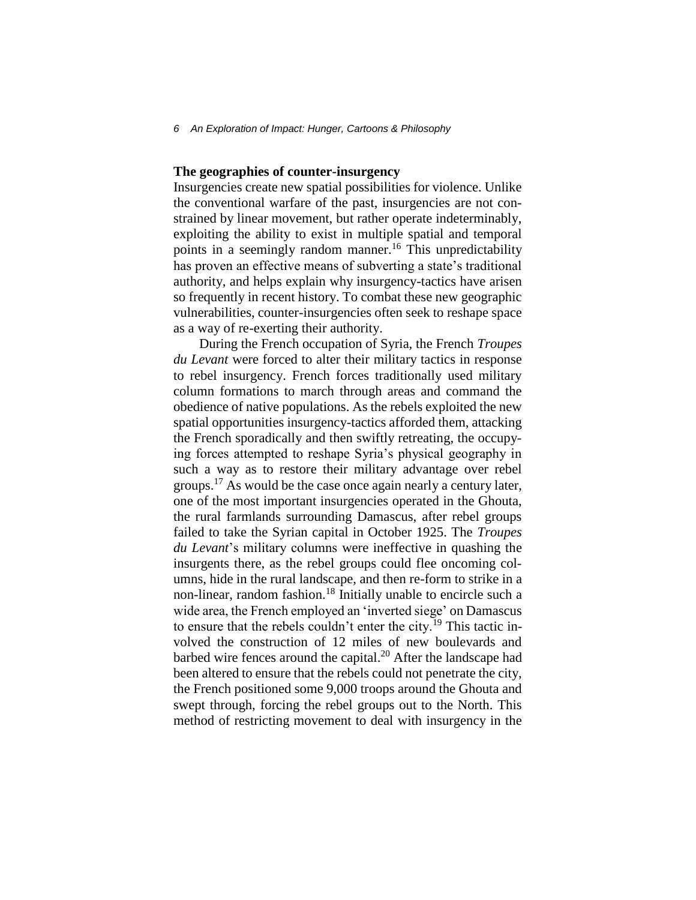#### **The geographies of counter-insurgency**

Insurgencies create new spatial possibilities for violence. Unlike the conventional warfare of the past, insurgencies are not constrained by linear movement, but rather operate indeterminably, exploiting the ability to exist in multiple spatial and temporal points in a seemingly random manner.<sup>16</sup> This unpredictability has proven an effective means of subverting a state's traditional authority, and helps explain why insurgency-tactics have arisen so frequently in recent history. To combat these new geographic vulnerabilities, counter-insurgencies often seek to reshape space as a way of re-exerting their authority.

During the French occupation of Syria, the French *Troupes du Levant* were forced to alter their military tactics in response to rebel insurgency. French forces traditionally used military column formations to march through areas and command the obedience of native populations. As the rebels exploited the new spatial opportunities insurgency-tactics afforded them, attacking the French sporadically and then swiftly retreating, the occupying forces attempted to reshape Syria's physical geography in such a way as to restore their military advantage over rebel groups.<sup>17</sup> As would be the case once again nearly a century later, one of the most important insurgencies operated in the Ghouta, the rural farmlands surrounding Damascus, after rebel groups failed to take the Syrian capital in October 1925. The *Troupes du Levant*'s military columns were ineffective in quashing the insurgents there, as the rebel groups could flee oncoming columns, hide in the rural landscape, and then re-form to strike in a non-linear, random fashion.<sup>18</sup> Initially unable to encircle such a wide area, the French employed an 'inverted siege' on Damascus to ensure that the rebels couldn't enter the city.<sup>19</sup> This tactic involved the construction of 12 miles of new boulevards and barbed wire fences around the capital.<sup>20</sup> After the landscape had been altered to ensure that the rebels could not penetrate the city, the French positioned some 9,000 troops around the Ghouta and swept through, forcing the rebel groups out to the North. This method of restricting movement to deal with insurgency in the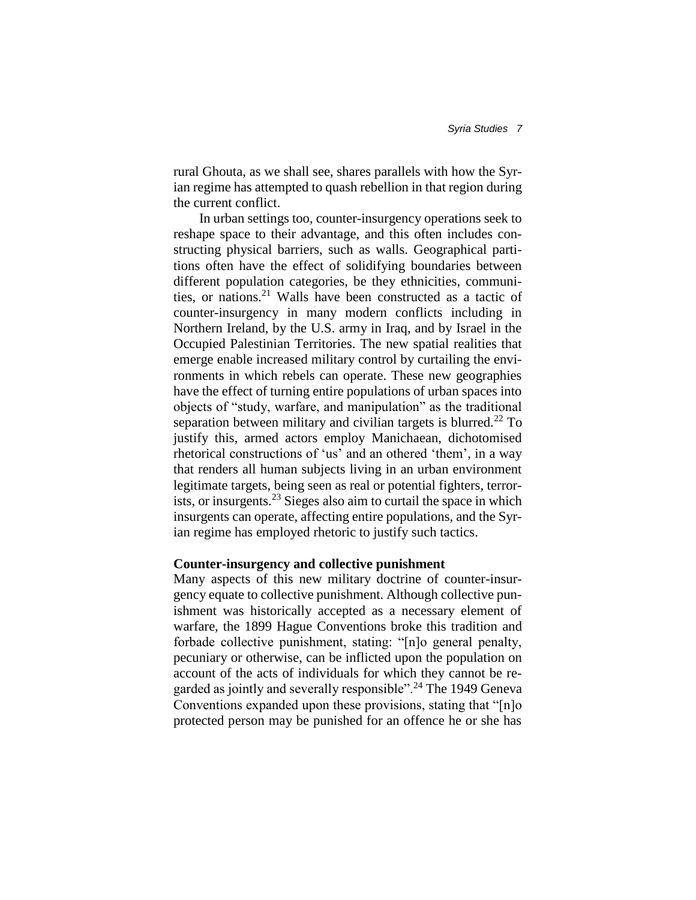rural Ghouta, as we shall see, shares parallels with how the Syrian regime has attempted to quash rebellion in that region during the current conflict.

In urban settings too, counter-insurgency operations seek to reshape space to their advantage, and this often includes constructing physical barriers, such as walls. Geographical partitions often have the effect of solidifying boundaries between different population categories, be they ethnicities, communities, or nations.<sup>21</sup> Walls have been constructed as a tactic of counter-insurgency in many modern conflicts including in Northern Ireland, by the U.S. army in Iraq, and by Israel in the Occupied Palestinian Territories. The new spatial realities that emerge enable increased military control by curtailing the environments in which rebels can operate. These new geographies have the effect of turning entire populations of urban spaces into objects of "study, warfare, and manipulation" as the traditional separation between military and civilian targets is blurred.<sup>22</sup> To justify this, armed actors employ Manichaean, dichotomised rhetorical constructions of 'us' and an othered 'them', in a way that renders all human subjects living in an urban environment legitimate targets, being seen as real or potential fighters, terrorists, or insurgents.<sup>23</sup> Sieges also aim to curtail the space in which insurgents can operate, affecting entire populations, and the Syrian regime has employed rhetoric to justify such tactics.

#### **Counter-insurgency and collective punishment**

Many aspects of this new military doctrine of counter-insurgency equate to collective punishment. Although collective punishment was historically accepted as a necessary element of warfare, the 1899 Hague Conventions broke this tradition and forbade collective punishment, stating: "[n]o general penalty, pecuniary or otherwise, can be inflicted upon the population on account of the acts of individuals for which they cannot be regarded as jointly and severally responsible"<sup>24</sup> The 1949 Geneva Conventions expanded upon these provisions, stating that "[n]o protected person may be punished for an offence he or she has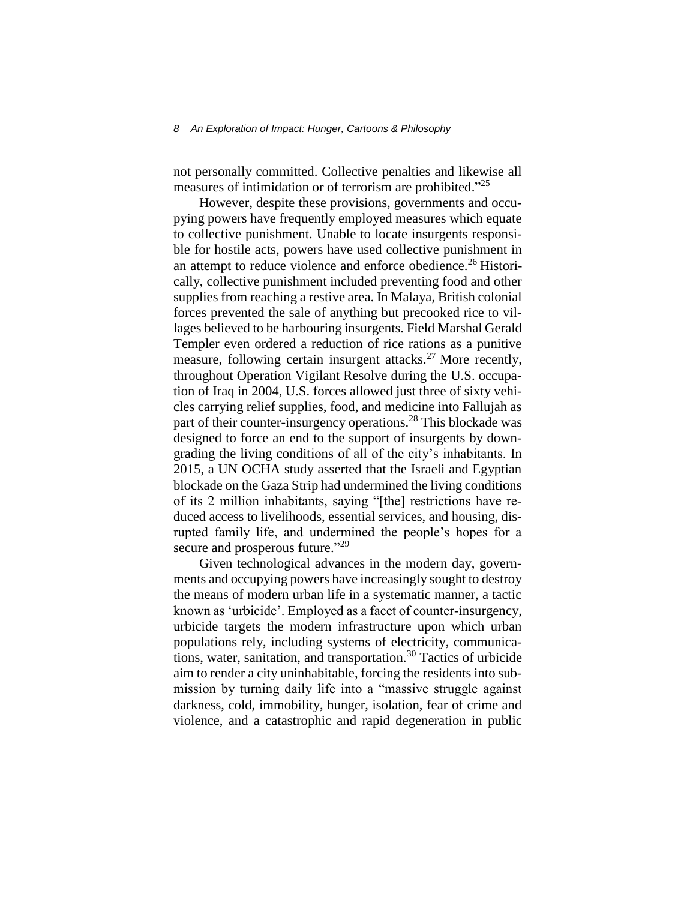not personally committed. Collective penalties and likewise all measures of intimidation or of terrorism are prohibited."<sup>25</sup>

However, despite these provisions, governments and occupying powers have frequently employed measures which equate to collective punishment. Unable to locate insurgents responsible for hostile acts, powers have used collective punishment in an attempt to reduce violence and enforce obedience.<sup>26</sup> Historically, collective punishment included preventing food and other supplies from reaching a restive area. In Malaya, British colonial forces prevented the sale of anything but precooked rice to villages believed to be harbouring insurgents. Field Marshal Gerald Templer even ordered a reduction of rice rations as a punitive measure, following certain insurgent attacks.<sup>27</sup> More recently, throughout Operation Vigilant Resolve during the U.S. occupation of Iraq in 2004, U.S. forces allowed just three of sixty vehicles carrying relief supplies, food, and medicine into Fallujah as part of their counter-insurgency operations.<sup>28</sup> This blockade was designed to force an end to the support of insurgents by downgrading the living conditions of all of the city's inhabitants. In 2015, a UN OCHA study asserted that the Israeli and Egyptian blockade on the Gaza Strip had undermined the living conditions of its 2 million inhabitants, saying "[the] restrictions have reduced access to livelihoods, essential services, and housing, disrupted family life, and undermined the people's hopes for a secure and prosperous future."<sup>29</sup>

Given technological advances in the modern day, governments and occupying powers have increasingly sought to destroy the means of modern urban life in a systematic manner, a tactic known as 'urbicide'. Employed as a facet of counter-insurgency, urbicide targets the modern infrastructure upon which urban populations rely, including systems of electricity, communications, water, sanitation, and transportation.<sup>30</sup> Tactics of urbicide aim to render a city uninhabitable, forcing the residents into submission by turning daily life into a "massive struggle against darkness, cold, immobility, hunger, isolation, fear of crime and violence, and a catastrophic and rapid degeneration in public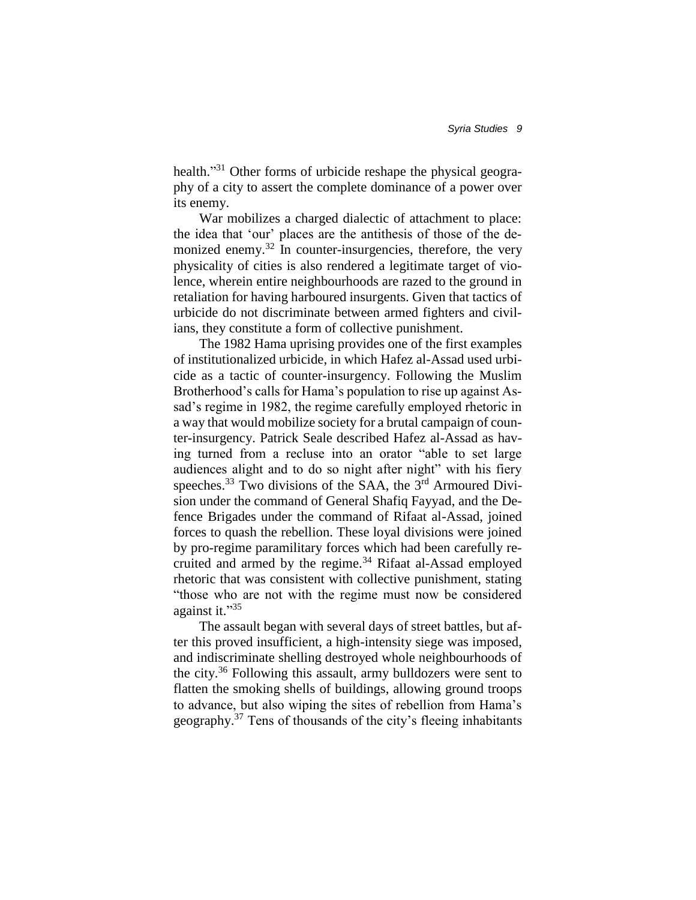health."<sup>31</sup> Other forms of urbicide reshape the physical geography of a city to assert the complete dominance of a power over its enemy.

War mobilizes a charged dialectic of attachment to place: the idea that 'our' places are the antithesis of those of the demonized enemy.<sup>32</sup> In counter-insurgencies, therefore, the very physicality of cities is also rendered a legitimate target of violence, wherein entire neighbourhoods are razed to the ground in retaliation for having harboured insurgents. Given that tactics of urbicide do not discriminate between armed fighters and civilians, they constitute a form of collective punishment.

The 1982 Hama uprising provides one of the first examples of institutionalized urbicide, in which Hafez al-Assad used urbicide as a tactic of counter-insurgency. Following the Muslim Brotherhood's calls for Hama's population to rise up against Assad's regime in 1982, the regime carefully employed rhetoric in a way that would mobilize society for a brutal campaign of counter-insurgency. Patrick Seale described Hafez al-Assad as having turned from a recluse into an orator "able to set large audiences alight and to do so night after night" with his fiery speeches.<sup>33</sup> Two divisions of the SAA, the  $3<sup>rd</sup>$  Armoured Division under the command of General Shafiq Fayyad, and the Defence Brigades under the command of Rifaat al-Assad, joined forces to quash the rebellion. These loyal divisions were joined by pro-regime paramilitary forces which had been carefully recruited and armed by the regime.<sup>34</sup> Rifaat al-Assad employed rhetoric that was consistent with collective punishment, stating "those who are not with the regime must now be considered against it."35

The assault began with several days of street battles, but after this proved insufficient, a high-intensity siege was imposed, and indiscriminate shelling destroyed whole neighbourhoods of the city.<sup>36</sup> Following this assault, army bulldozers were sent to flatten the smoking shells of buildings, allowing ground troops to advance, but also wiping the sites of rebellion from Hama's geography.<sup>37</sup> Tens of thousands of the city's fleeing inhabitants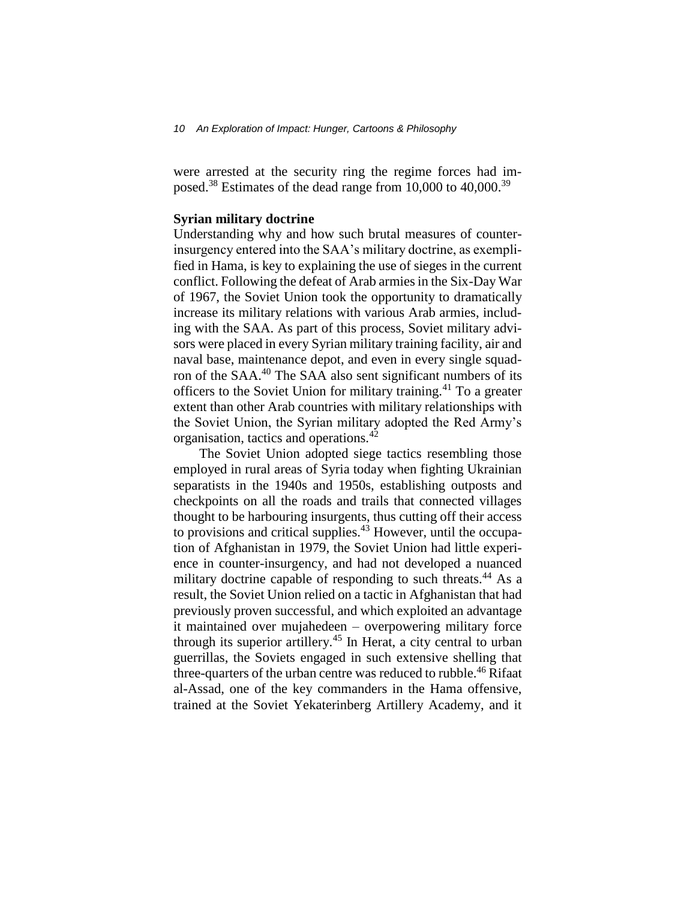were arrested at the security ring the regime forces had imposed.<sup>38</sup> Estimates of the dead range from 10,000 to 40,000.<sup>39</sup>

#### **Syrian military doctrine**

Understanding why and how such brutal measures of counterinsurgency entered into the SAA's military doctrine, as exemplified in Hama, is key to explaining the use of sieges in the current conflict. Following the defeat of Arab armies in the Six-Day War of 1967, the Soviet Union took the opportunity to dramatically increase its military relations with various Arab armies, including with the SAA. As part of this process, Soviet military advisors were placed in every Syrian military training facility, air and naval base, maintenance depot, and even in every single squadron of the SAA.<sup>40</sup> The SAA also sent significant numbers of its officers to the Soviet Union for military training.<sup>41</sup> To a greater extent than other Arab countries with military relationships with the Soviet Union, the Syrian military adopted the Red Army's organisation, tactics and operations.<sup>42</sup>

The Soviet Union adopted siege tactics resembling those employed in rural areas of Syria today when fighting Ukrainian separatists in the 1940s and 1950s, establishing outposts and checkpoints on all the roads and trails that connected villages thought to be harbouring insurgents, thus cutting off their access to provisions and critical supplies.<sup>43</sup> However, until the occupation of Afghanistan in 1979, the Soviet Union had little experience in counter-insurgency, and had not developed a nuanced military doctrine capable of responding to such threats.<sup>44</sup> As a result, the Soviet Union relied on a tactic in Afghanistan that had previously proven successful, and which exploited an advantage it maintained over mujahedeen – overpowering military force through its superior artillery.<sup>45</sup> In Herat, a city central to urban guerrillas, the Soviets engaged in such extensive shelling that three-quarters of the urban centre was reduced to rubble.<sup>46</sup> Rifaat al-Assad, one of the key commanders in the Hama offensive, trained at the Soviet Yekaterinberg Artillery Academy, and it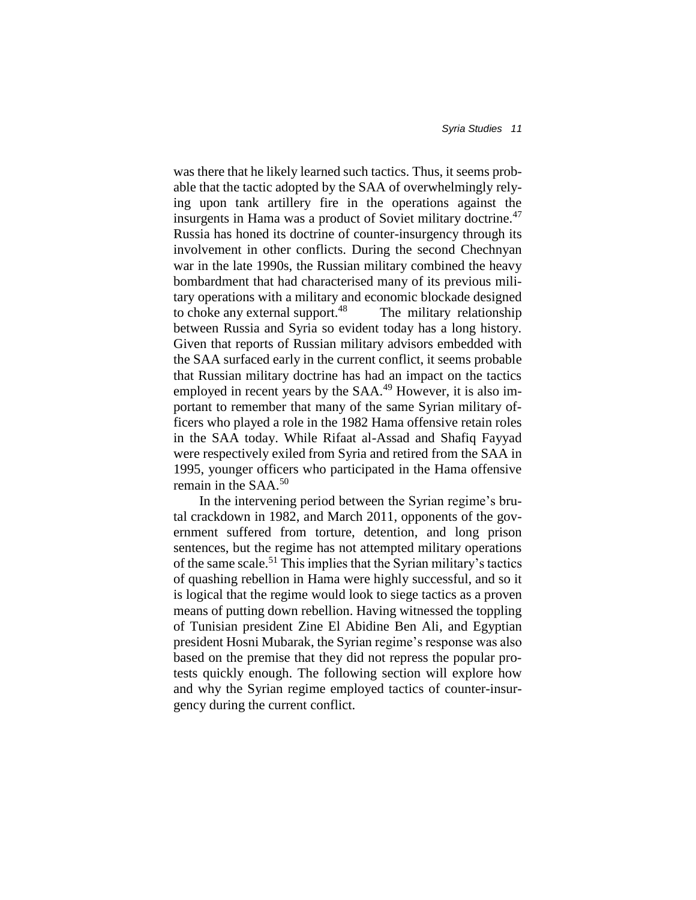was there that he likely learned such tactics. Thus, it seems probable that the tactic adopted by the SAA of overwhelmingly relying upon tank artillery fire in the operations against the insurgents in Hama was a product of Soviet military doctrine.<sup>47</sup> Russia has honed its doctrine of counter-insurgency through its involvement in other conflicts. During the second Chechnyan war in the late 1990s, the Russian military combined the heavy bombardment that had characterised many of its previous military operations with a military and economic blockade designed to choke any external support.<sup>48</sup> The military relationship between Russia and Syria so evident today has a long history. Given that reports of Russian military advisors embedded with the SAA surfaced early in the current conflict, it seems probable that Russian military doctrine has had an impact on the tactics employed in recent years by the SAA.<sup>49</sup> However, it is also important to remember that many of the same Syrian military officers who played a role in the 1982 Hama offensive retain roles in the SAA today. While Rifaat al-Assad and Shafiq Fayyad were respectively exiled from Syria and retired from the SAA in 1995, younger officers who participated in the Hama offensive remain in the SAA.<sup>50</sup>

In the intervening period between the Syrian regime's brutal crackdown in 1982, and March 2011, opponents of the government suffered from torture, detention, and long prison sentences, but the regime has not attempted military operations of the same scale.<sup>51</sup> This implies that the Syrian military's tactics of quashing rebellion in Hama were highly successful, and so it is logical that the regime would look to siege tactics as a proven means of putting down rebellion. Having witnessed the toppling of Tunisian president Zine El Abidine Ben Ali, and Egyptian president Hosni Mubarak, the Syrian regime's response was also based on the premise that they did not repress the popular protests quickly enough. The following section will explore how and why the Syrian regime employed tactics of counter-insurgency during the current conflict.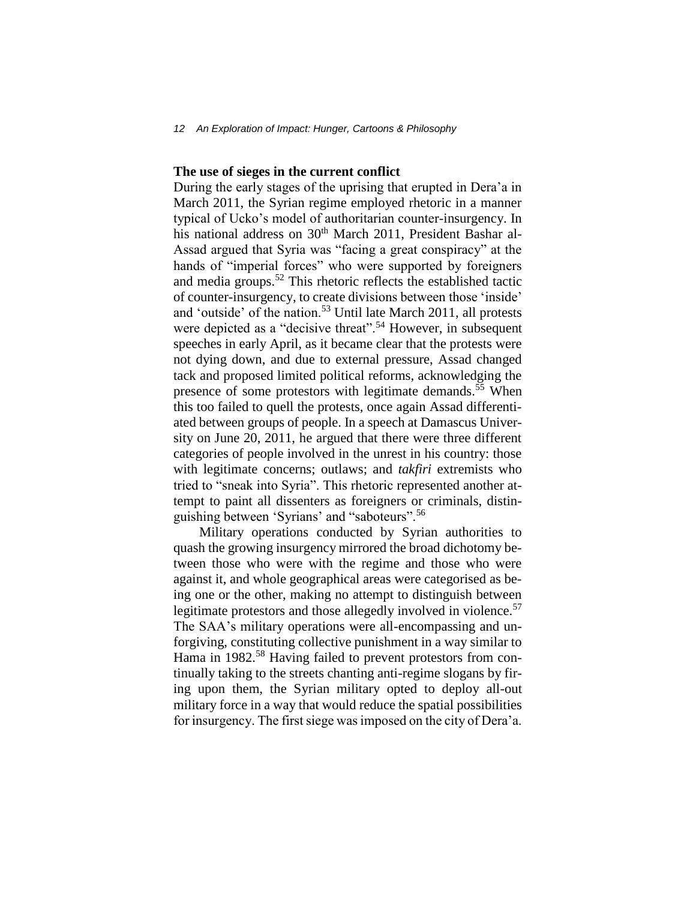#### **The use of sieges in the current conflict**

During the early stages of the uprising that erupted in Dera'a in March 2011, the Syrian regime employed rhetoric in a manner typical of Ucko's model of authoritarian counter-insurgency. In his national address on 30<sup>th</sup> March 2011, President Bashar al-Assad argued that Syria was "facing a great conspiracy" at the hands of "imperial forces" who were supported by foreigners and media groups.<sup>52</sup> This rhetoric reflects the established tactic of counter-insurgency, to create divisions between those 'inside' and 'outside' of the nation.<sup>53</sup> Until late March 2011, all protests were depicted as a "decisive threat".<sup>54</sup> However, in subsequent speeches in early April, as it became clear that the protests were not dying down, and due to external pressure, Assad changed tack and proposed limited political reforms, acknowledging the presence of some protestors with legitimate demands.<sup>55</sup> When this too failed to quell the protests, once again Assad differentiated between groups of people. In a speech at Damascus University on June 20, 2011, he argued that there were three different categories of people involved in the unrest in his country: those with legitimate concerns; outlaws; and *takfiri* extremists who tried to "sneak into Syria". This rhetoric represented another attempt to paint all dissenters as foreigners or criminals, distinguishing between 'Syrians' and "saboteurs".<sup>56</sup>

Military operations conducted by Syrian authorities to quash the growing insurgency mirrored the broad dichotomy between those who were with the regime and those who were against it, and whole geographical areas were categorised as being one or the other, making no attempt to distinguish between legitimate protestors and those allegedly involved in violence.<sup>57</sup> The SAA's military operations were all-encompassing and unforgiving, constituting collective punishment in a way similar to Hama in 1982.<sup>58</sup> Having failed to prevent protestors from continually taking to the streets chanting anti-regime slogans by firing upon them, the Syrian military opted to deploy all-out military force in a way that would reduce the spatial possibilities for insurgency. The first siege was imposed on the city of Dera'a.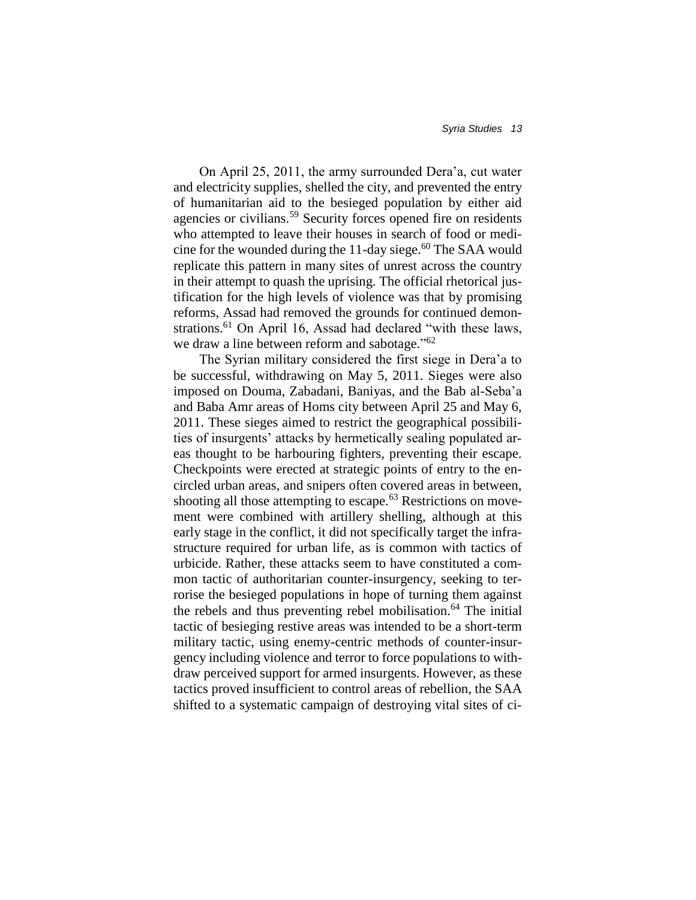On April 25, 2011, the army surrounded Dera'a, cut water and electricity supplies, shelled the city, and prevented the entry of humanitarian aid to the besieged population by either aid agencies or civilians.<sup>59</sup> Security forces opened fire on residents who attempted to leave their houses in search of food or medicine for the wounded during the 11-day siege. $60$  The SAA would replicate this pattern in many sites of unrest across the country in their attempt to quash the uprising. The official rhetorical justification for the high levels of violence was that by promising reforms, Assad had removed the grounds for continued demonstrations.<sup>61</sup> On April 16, Assad had declared "with these laws, we draw a line between reform and sabotage."<sup>62</sup>

The Syrian military considered the first siege in Dera'a to be successful, withdrawing on May 5, 2011. Sieges were also imposed on Douma, Zabadani, Baniyas, and the Bab al-Seba'a and Baba Amr areas of Homs city between April 25 and May 6, 2011. These sieges aimed to restrict the geographical possibilities of insurgents' attacks by hermetically sealing populated areas thought to be harbouring fighters, preventing their escape. Checkpoints were erected at strategic points of entry to the encircled urban areas, and snipers often covered areas in between, shooting all those attempting to escape. $63$  Restrictions on movement were combined with artillery shelling, although at this early stage in the conflict, it did not specifically target the infrastructure required for urban life, as is common with tactics of urbicide. Rather, these attacks seem to have constituted a common tactic of authoritarian counter-insurgency, seeking to terrorise the besieged populations in hope of turning them against the rebels and thus preventing rebel mobilisation.<sup>64</sup> The initial tactic of besieging restive areas was intended to be a short-term military tactic, using enemy-centric methods of counter-insurgency including violence and terror to force populations to withdraw perceived support for armed insurgents. However, as these tactics proved insufficient to control areas of rebellion, the SAA shifted to a systematic campaign of destroying vital sites of ci-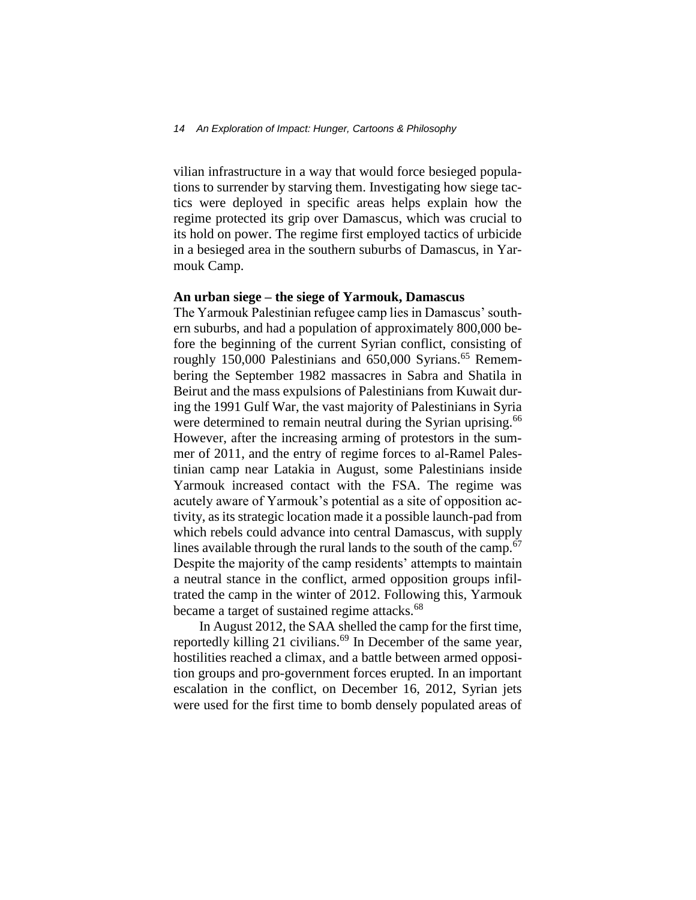#### *14 An Exploration of Impact: Hunger, Cartoons & Philosophy*

vilian infrastructure in a way that would force besieged populations to surrender by starving them. Investigating how siege tactics were deployed in specific areas helps explain how the regime protected its grip over Damascus, which was crucial to its hold on power. The regime first employed tactics of urbicide in a besieged area in the southern suburbs of Damascus, in Yarmouk Camp.

#### **An urban siege – the siege of Yarmouk, Damascus**

The Yarmouk Palestinian refugee camp lies in Damascus' southern suburbs, and had a population of approximately 800,000 before the beginning of the current Syrian conflict, consisting of roughly  $150,000$  Palestinians and  $650,000$  Syrians.<sup>65</sup> Remembering the September 1982 massacres in Sabra and Shatila in Beirut and the mass expulsions of Palestinians from Kuwait during the 1991 Gulf War, the vast majority of Palestinians in Syria were determined to remain neutral during the Syrian uprising.<sup>66</sup> However, after the increasing arming of protestors in the summer of 2011, and the entry of regime forces to al-Ramel Palestinian camp near Latakia in August, some Palestinians inside Yarmouk increased contact with the FSA. The regime was acutely aware of Yarmouk's potential as a site of opposition activity, as its strategic location made it a possible launch-pad from which rebels could advance into central Damascus, with supply lines available through the rural lands to the south of the camp.<sup>67</sup> Despite the majority of the camp residents' attempts to maintain a neutral stance in the conflict, armed opposition groups infiltrated the camp in the winter of 2012. Following this, Yarmouk became a target of sustained regime attacks.<sup>68</sup>

In August 2012, the SAA shelled the camp for the first time, reportedly killing 21 civilians.<sup>69</sup> In December of the same year, hostilities reached a climax, and a battle between armed opposition groups and pro-government forces erupted. In an important escalation in the conflict, on December 16, 2012, Syrian jets were used for the first time to bomb densely populated areas of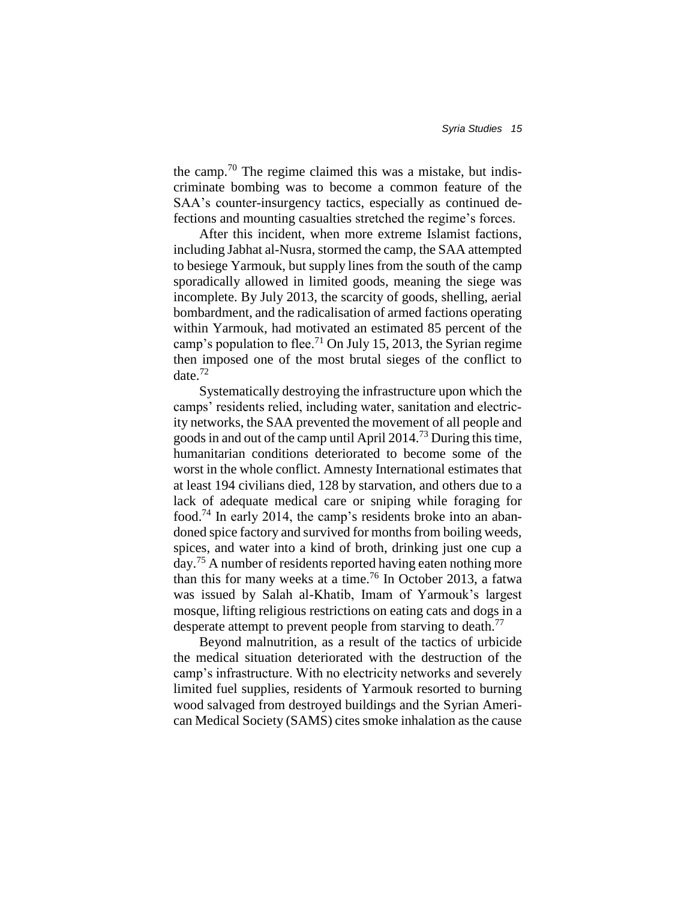the camp.<sup>70</sup> The regime claimed this was a mistake, but indiscriminate bombing was to become a common feature of the SAA's counter-insurgency tactics, especially as continued defections and mounting casualties stretched the regime's forces.

After this incident, when more extreme Islamist factions, including Jabhat al-Nusra, stormed the camp, the SAA attempted to besiege Yarmouk, but supply lines from the south of the camp sporadically allowed in limited goods, meaning the siege was incomplete. By July 2013, the scarcity of goods, shelling, aerial bombardment, and the radicalisation of armed factions operating within Yarmouk, had motivated an estimated 85 percent of the camp's population to flee.<sup>71</sup> On July 15, 2013, the Syrian regime then imposed one of the most brutal sieges of the conflict to date.<sup>72</sup>

Systematically destroying the infrastructure upon which the camps' residents relied, including water, sanitation and electricity networks, the SAA prevented the movement of all people and goods in and out of the camp until April 2014.<sup>73</sup> During this time, humanitarian conditions deteriorated to become some of the worst in the whole conflict. Amnesty International estimates that at least 194 civilians died, 128 by starvation, and others due to a lack of adequate medical care or sniping while foraging for food.<sup>74</sup> In early 2014, the camp's residents broke into an abandoned spice factory and survived for months from boiling weeds, spices, and water into a kind of broth, drinking just one cup a day.<sup>75</sup> A number of residents reported having eaten nothing more than this for many weeks at a time.<sup>76</sup> In October 2013, a fatwa was issued by Salah al-Khatib, Imam of Yarmouk's largest mosque, lifting religious restrictions on eating cats and dogs in a desperate attempt to prevent people from starving to death.<sup>77</sup>

Beyond malnutrition, as a result of the tactics of urbicide the medical situation deteriorated with the destruction of the camp's infrastructure. With no electricity networks and severely limited fuel supplies, residents of Yarmouk resorted to burning wood salvaged from destroyed buildings and the Syrian American Medical Society (SAMS) cites smoke inhalation as the cause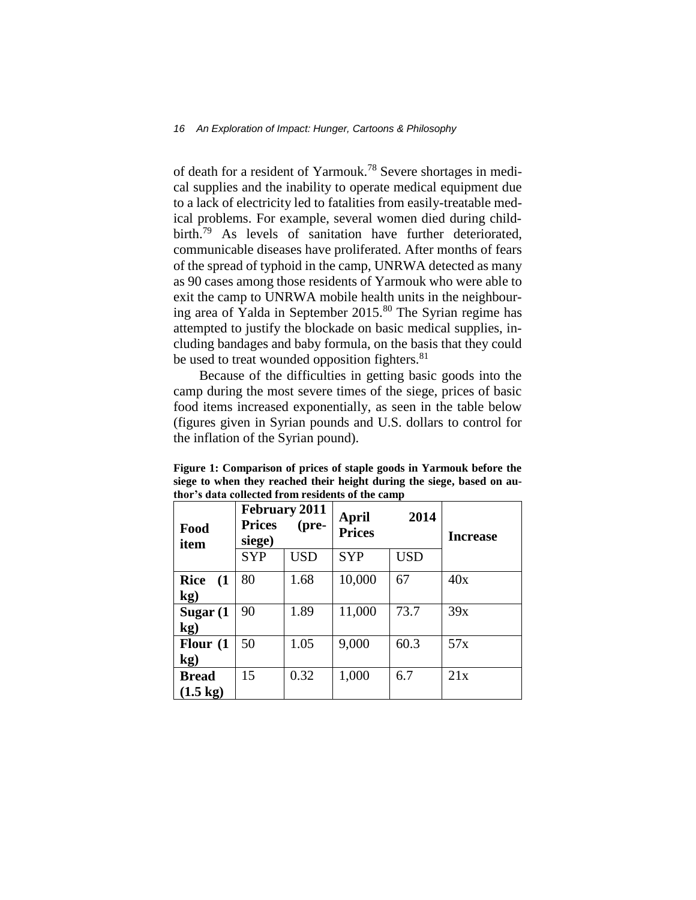of death for a resident of Yarmouk.<sup>78</sup> Severe shortages in medical supplies and the inability to operate medical equipment due to a lack of electricity led to fatalities from easily-treatable medical problems. For example, several women died during childbirth.<sup>79</sup> As levels of sanitation have further deteriorated, communicable diseases have proliferated. After months of fears of the spread of typhoid in the camp, UNRWA detected as many as 90 cases among those residents of Yarmouk who were able to exit the camp to UNRWA mobile health units in the neighbouring area of Yalda in September 2015.<sup>80</sup> The Syrian regime has attempted to justify the blockade on basic medical supplies, including bandages and baby formula, on the basis that they could be used to treat wounded opposition fighters.<sup>81</sup>

Because of the difficulties in getting basic goods into the camp during the most severe times of the siege, prices of basic food items increased exponentially, as seen in the table below (figures given in Syrian pounds and U.S. dollars to control for the inflation of the Syrian pound).

|                                    | <b>February 2011</b>             |            |                                |            |                 |
|------------------------------------|----------------------------------|------------|--------------------------------|------------|-----------------|
| Food<br>item                       | <b>Prices</b><br>(pre-<br>siege) |            | 2014<br>April<br><b>Prices</b> |            | <b>Increase</b> |
|                                    | <b>SYP</b>                       | <b>USD</b> | <b>SYP</b>                     | <b>USD</b> |                 |
| <b>Rice</b><br>(1)<br>kg)          | 80                               | 1.68       | 10,000                         | 67         | 40x             |
| Sugar (1<br>$\mathbf{kg}$ )        | 90                               | 1.89       | 11,000                         | 73.7       | 39x             |
| Flour (1<br>kg)                    | 50                               | 1.05       | 9,000                          | 60.3       | 57x             |
| <b>Bread</b><br>$(1.5 \text{ kg})$ | 15                               | 0.32       | 1,000                          | 6.7        | 21x             |

**Figure 1: Comparison of prices of staple goods in Yarmouk before the siege to when they reached their height during the siege, based on author's data collected from residents of the camp**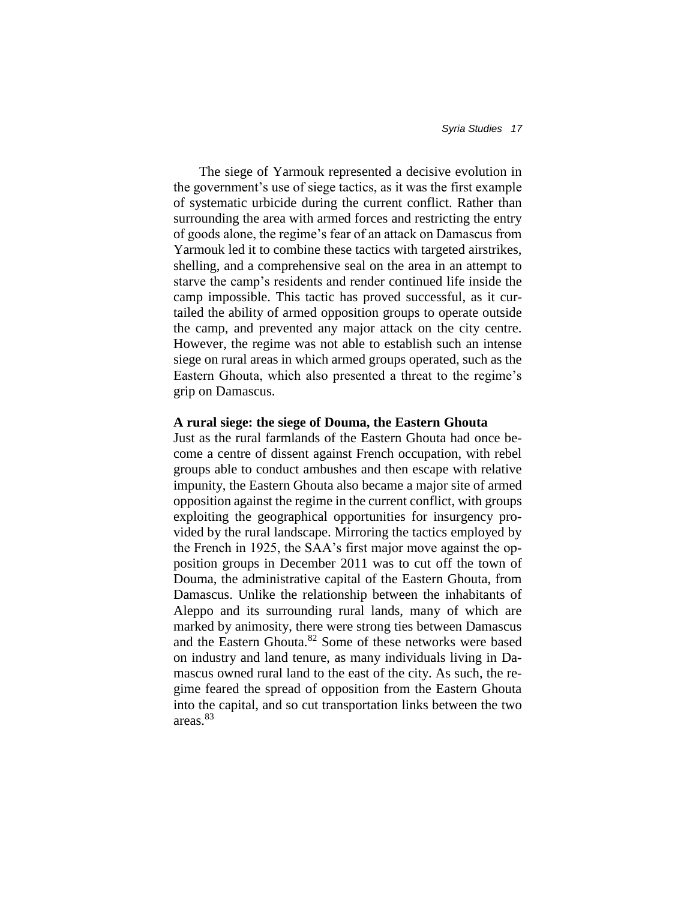The siege of Yarmouk represented a decisive evolution in the government's use of siege tactics, as it was the first example of systematic urbicide during the current conflict. Rather than surrounding the area with armed forces and restricting the entry of goods alone, the regime's fear of an attack on Damascus from Yarmouk led it to combine these tactics with targeted airstrikes, shelling, and a comprehensive seal on the area in an attempt to starve the camp's residents and render continued life inside the camp impossible. This tactic has proved successful, as it curtailed the ability of armed opposition groups to operate outside the camp, and prevented any major attack on the city centre. However, the regime was not able to establish such an intense siege on rural areas in which armed groups operated, such as the Eastern Ghouta, which also presented a threat to the regime's grip on Damascus.

#### **A rural siege: the siege of Douma, the Eastern Ghouta**

Just as the rural farmlands of the Eastern Ghouta had once become a centre of dissent against French occupation, with rebel groups able to conduct ambushes and then escape with relative impunity, the Eastern Ghouta also became a major site of armed opposition against the regime in the current conflict, with groups exploiting the geographical opportunities for insurgency provided by the rural landscape. Mirroring the tactics employed by the French in 1925, the SAA's first major move against the opposition groups in December 2011 was to cut off the town of Douma, the administrative capital of the Eastern Ghouta, from Damascus. Unlike the relationship between the inhabitants of Aleppo and its surrounding rural lands, many of which are marked by animosity, there were strong ties between Damascus and the Eastern Ghouta.<sup>82</sup> Some of these networks were based on industry and land tenure, as many individuals living in Damascus owned rural land to the east of the city. As such, the regime feared the spread of opposition from the Eastern Ghouta into the capital, and so cut transportation links between the two areas.<sup>83</sup>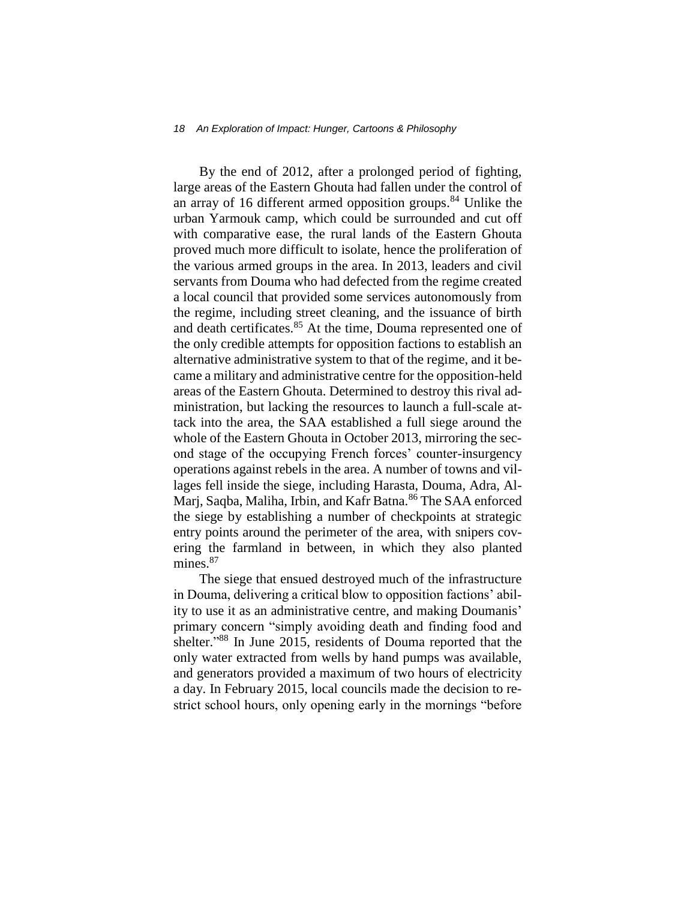#### *18 An Exploration of Impact: Hunger, Cartoons & Philosophy*

By the end of 2012, after a prolonged period of fighting, large areas of the Eastern Ghouta had fallen under the control of an array of 16 different armed opposition groups.<sup>84</sup> Unlike the urban Yarmouk camp, which could be surrounded and cut off with comparative ease, the rural lands of the Eastern Ghouta proved much more difficult to isolate, hence the proliferation of the various armed groups in the area. In 2013, leaders and civil servants from Douma who had defected from the regime created a local council that provided some services autonomously from the regime, including street cleaning, and the issuance of birth and death certificates.<sup>85</sup> At the time, Douma represented one of the only credible attempts for opposition factions to establish an alternative administrative system to that of the regime, and it became a military and administrative centre for the opposition-held areas of the Eastern Ghouta. Determined to destroy this rival administration, but lacking the resources to launch a full-scale attack into the area, the SAA established a full siege around the whole of the Eastern Ghouta in October 2013, mirroring the second stage of the occupying French forces' counter-insurgency operations against rebels in the area. A number of towns and villages fell inside the siege, including Harasta, Douma, Adra, Al-Marj, Saqba, Maliha, Irbin, and Kafr Batna.<sup>86</sup> The SAA enforced the siege by establishing a number of checkpoints at strategic entry points around the perimeter of the area, with snipers covering the farmland in between, in which they also planted mines.<sup>87</sup>

The siege that ensued destroyed much of the infrastructure in Douma, delivering a critical blow to opposition factions' ability to use it as an administrative centre, and making Doumanis' primary concern "simply avoiding death and finding food and shelter." <sup>88</sup> In June 2015, residents of Douma reported that the only water extracted from wells by hand pumps was available, and generators provided a maximum of two hours of electricity a day. In February 2015, local councils made the decision to restrict school hours, only opening early in the mornings "before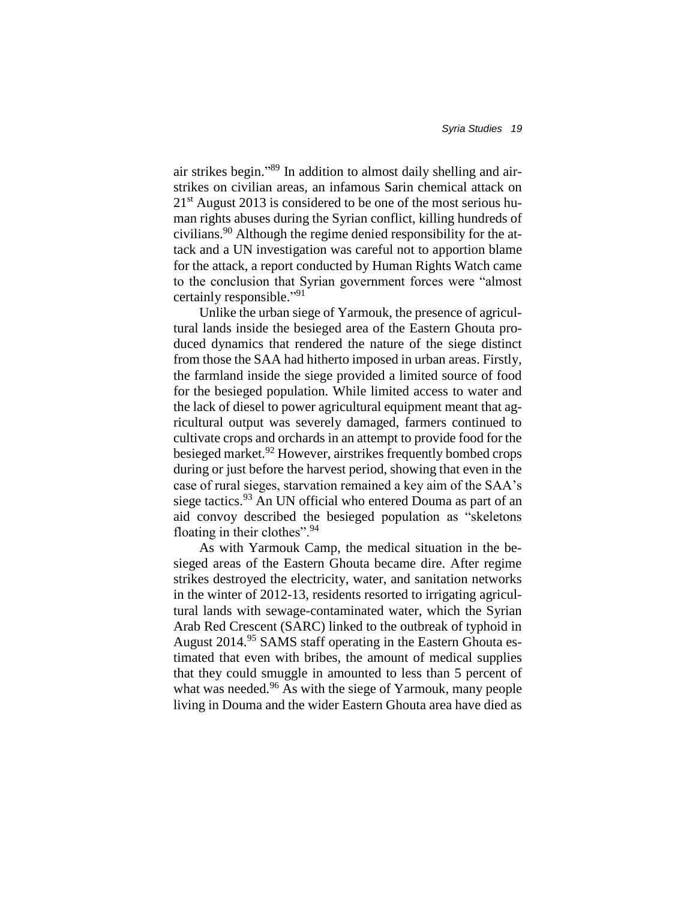air strikes begin." <sup>89</sup> In addition to almost daily shelling and airstrikes on civilian areas, an infamous Sarin chemical attack on  $21<sup>st</sup>$  August 2013 is considered to be one of the most serious human rights abuses during the Syrian conflict, killing hundreds of civilians.<sup>90</sup> Although the regime denied responsibility for the attack and a UN investigation was careful not to apportion blame for the attack, a report conducted by Human Rights Watch came to the conclusion that Syrian government forces were "almost certainly responsible."<sup>91</sup>

Unlike the urban siege of Yarmouk, the presence of agricultural lands inside the besieged area of the Eastern Ghouta produced dynamics that rendered the nature of the siege distinct from those the SAA had hitherto imposed in urban areas. Firstly, the farmland inside the siege provided a limited source of food for the besieged population. While limited access to water and the lack of diesel to power agricultural equipment meant that agricultural output was severely damaged, farmers continued to cultivate crops and orchards in an attempt to provide food for the besieged market.<sup>92</sup> However, airstrikes frequently bombed crops during or just before the harvest period, showing that even in the case of rural sieges, starvation remained a key aim of the SAA's siege tactics.<sup>93</sup> An UN official who entered Douma as part of an aid convoy described the besieged population as "skeletons floating in their clothes".<sup>94</sup>

As with Yarmouk Camp, the medical situation in the besieged areas of the Eastern Ghouta became dire. After regime strikes destroyed the electricity, water, and sanitation networks in the winter of 2012-13, residents resorted to irrigating agricultural lands with sewage-contaminated water, which the Syrian Arab Red Crescent (SARC) linked to the outbreak of typhoid in August 2014.<sup>95</sup> SAMS staff operating in the Eastern Ghouta estimated that even with bribes, the amount of medical supplies that they could smuggle in amounted to less than 5 percent of what was needed.<sup>96</sup> As with the siege of Yarmouk, many people living in Douma and the wider Eastern Ghouta area have died as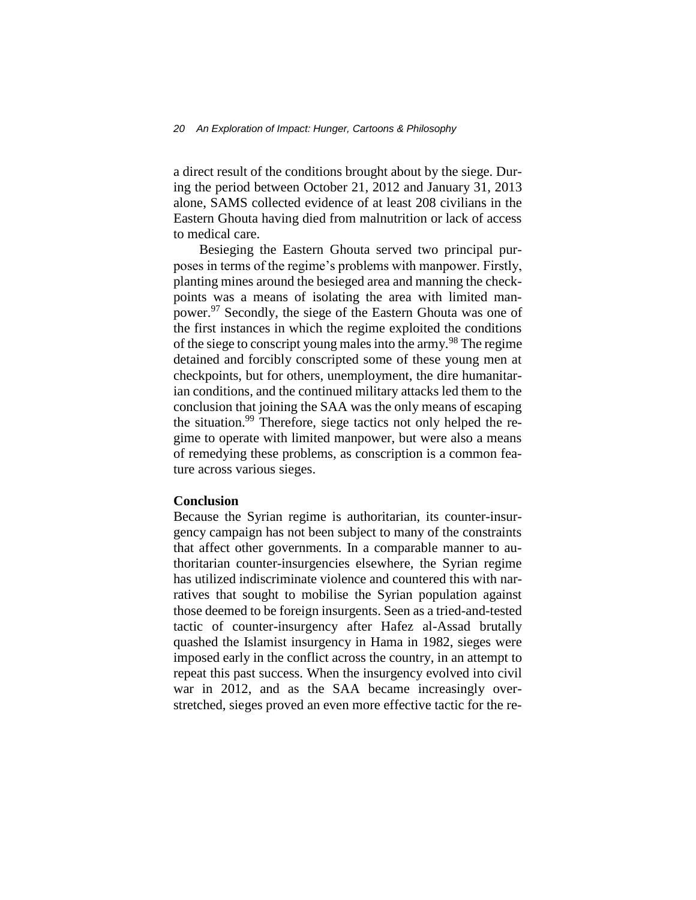a direct result of the conditions brought about by the siege. During the period between October 21, 2012 and January 31, 2013 alone, SAMS collected evidence of at least 208 civilians in the Eastern Ghouta having died from malnutrition or lack of access to medical care.

Besieging the Eastern Ghouta served two principal purposes in terms of the regime's problems with manpower. Firstly, planting mines around the besieged area and manning the checkpoints was a means of isolating the area with limited manpower.<sup>97</sup> Secondly, the siege of the Eastern Ghouta was one of the first instances in which the regime exploited the conditions of the siege to conscript young males into the army.<sup>98</sup> The regime detained and forcibly conscripted some of these young men at checkpoints, but for others, unemployment, the dire humanitarian conditions, and the continued military attacks led them to the conclusion that joining the SAA was the only means of escaping the situation.<sup>99</sup> Therefore, siege tactics not only helped the regime to operate with limited manpower, but were also a means of remedying these problems, as conscription is a common feature across various sieges.

#### **Conclusion**

Because the Syrian regime is authoritarian, its counter-insurgency campaign has not been subject to many of the constraints that affect other governments. In a comparable manner to authoritarian counter-insurgencies elsewhere, the Syrian regime has utilized indiscriminate violence and countered this with narratives that sought to mobilise the Syrian population against those deemed to be foreign insurgents. Seen as a tried-and-tested tactic of counter-insurgency after Hafez al-Assad brutally quashed the Islamist insurgency in Hama in 1982, sieges were imposed early in the conflict across the country, in an attempt to repeat this past success. When the insurgency evolved into civil war in 2012, and as the SAA became increasingly overstretched, sieges proved an even more effective tactic for the re-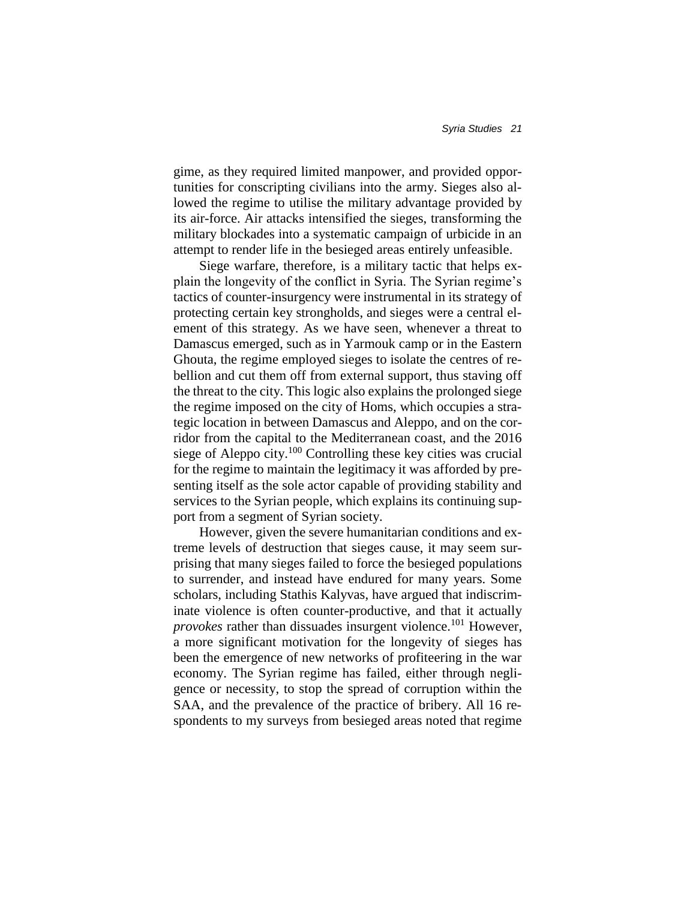gime, as they required limited manpower, and provided opportunities for conscripting civilians into the army. Sieges also allowed the regime to utilise the military advantage provided by its air-force. Air attacks intensified the sieges, transforming the military blockades into a systematic campaign of urbicide in an attempt to render life in the besieged areas entirely unfeasible.

Siege warfare, therefore, is a military tactic that helps explain the longevity of the conflict in Syria. The Syrian regime's tactics of counter-insurgency were instrumental in its strategy of protecting certain key strongholds, and sieges were a central element of this strategy. As we have seen, whenever a threat to Damascus emerged, such as in Yarmouk camp or in the Eastern Ghouta, the regime employed sieges to isolate the centres of rebellion and cut them off from external support, thus staving off the threat to the city. This logic also explains the prolonged siege the regime imposed on the city of Homs, which occupies a strategic location in between Damascus and Aleppo, and on the corridor from the capital to the Mediterranean coast, and the 2016 siege of Aleppo city.<sup>100</sup> Controlling these key cities was crucial for the regime to maintain the legitimacy it was afforded by presenting itself as the sole actor capable of providing stability and services to the Syrian people, which explains its continuing support from a segment of Syrian society.

However, given the severe humanitarian conditions and extreme levels of destruction that sieges cause, it may seem surprising that many sieges failed to force the besieged populations to surrender, and instead have endured for many years. Some scholars, including Stathis Kalyvas, have argued that indiscriminate violence is often counter-productive, and that it actually *provokes* rather than dissuades insurgent violence.<sup>101</sup> However, a more significant motivation for the longevity of sieges has been the emergence of new networks of profiteering in the war economy. The Syrian regime has failed, either through negligence or necessity, to stop the spread of corruption within the SAA, and the prevalence of the practice of bribery. All 16 respondents to my surveys from besieged areas noted that regime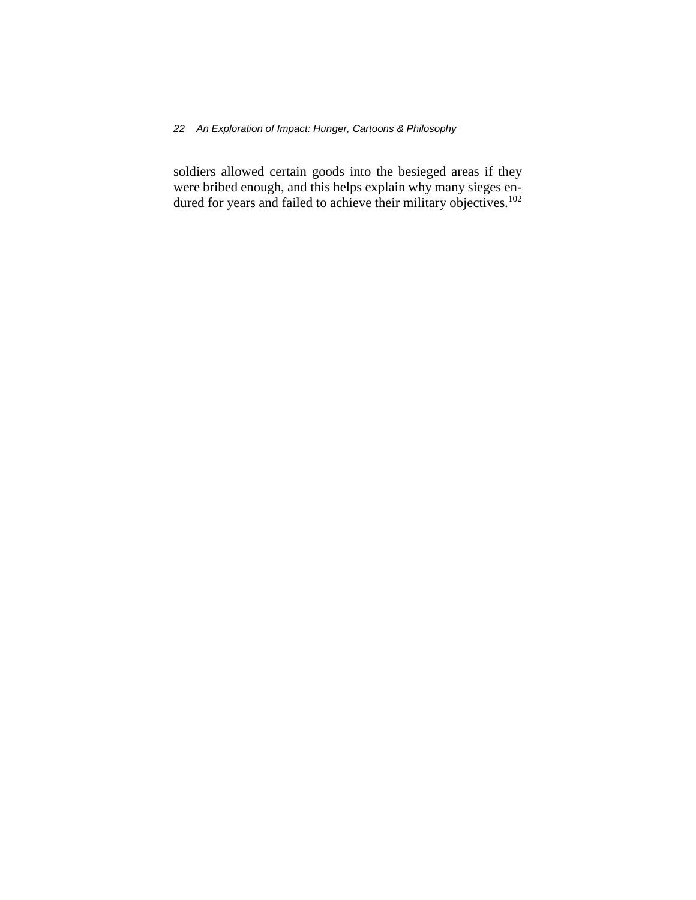### *22 An Exploration of Impact: Hunger, Cartoons & Philosophy*

soldiers allowed certain goods into the besieged areas if they were bribed enough, and this helps explain why many sieges endured for years and failed to achieve their military objectives.<sup>102</sup>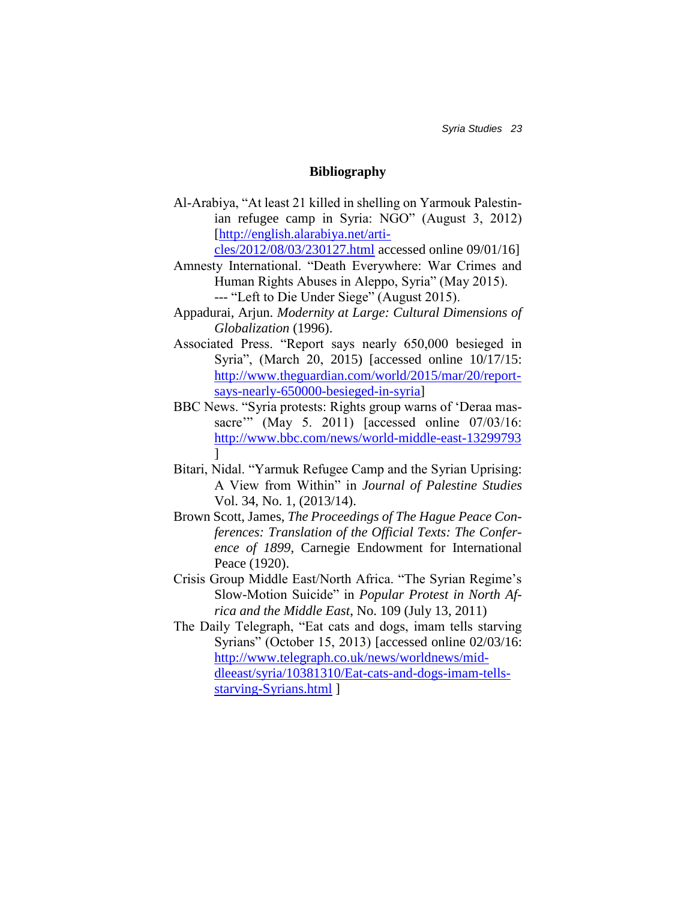*Syria Studies 23*

## **Bibliography**

Al-Arabiya, "At least 21 killed in shelling on Yarmouk Palestinian refugee camp in Syria: NGO" (August 3, 2012) [\[http://english.alarabiya.net/arti-](http://english.alarabiya.net/articles/2012/08/03/230127.html)

[cles/2012/08/03/230127.html](http://english.alarabiya.net/articles/2012/08/03/230127.html) accessed online 09/01/16]

- Amnesty International. "Death Everywhere: War Crimes and Human Rights Abuses in Aleppo, Syria" (May 2015). --- "Left to Die Under Siege" (August 2015).
- Appadurai, Arjun. *Modernity at Large: Cultural Dimensions of Globalization* (1996).
- Associated Press. "Report says nearly 650,000 besieged in Syria", (March 20, 2015) [accessed online 10/17/15: [http://www.theguardian.com/world/2015/mar/20/report](http://www.theguardian.com/world/2015/mar/20/report-says-nearly-650000-besieged-in-syria)[says-nearly-650000-besieged-in-syria\]](http://www.theguardian.com/world/2015/mar/20/report-says-nearly-650000-besieged-in-syria)
- BBC News. "Syria protests: Rights group warns of 'Deraa massacre'" (May 5. 2011) [accessed online 07/03/16: <http://www.bbc.com/news/world-middle-east-13299793> ]
- Bitari, Nidal. "Yarmuk Refugee Camp and the Syrian Uprising: A View from Within" in *Journal of Palestine Studies* Vol. 34, No. 1, (2013/14).
- Brown Scott, James, *The Proceedings of The Hague Peace Conferences: Translation of the Official Texts: The Conference of 1899*, Carnegie Endowment for International Peace (1920).
- Crisis Group Middle East/North Africa. "The Syrian Regime's Slow-Motion Suicide" in *Popular Protest in North Africa and the Middle East*, No. 109 (July 13, 2011)
- The Daily Telegraph, "Eat cats and dogs, imam tells starving Syrians" (October 15, 2013) [accessed online 02/03/16: [http://www.telegraph.co.uk/news/worldnews/mid](http://www.telegraph.co.uk/news/worldnews/middleeast/syria/10381310/Eat-cats-and-dogs-imam-tells-starving-Syrians.html)[dleeast/syria/10381310/Eat-cats-and-dogs-imam-tells](http://www.telegraph.co.uk/news/worldnews/middleeast/syria/10381310/Eat-cats-and-dogs-imam-tells-starving-Syrians.html)[starving-Syrians.html](http://www.telegraph.co.uk/news/worldnews/middleeast/syria/10381310/Eat-cats-and-dogs-imam-tells-starving-Syrians.html) ]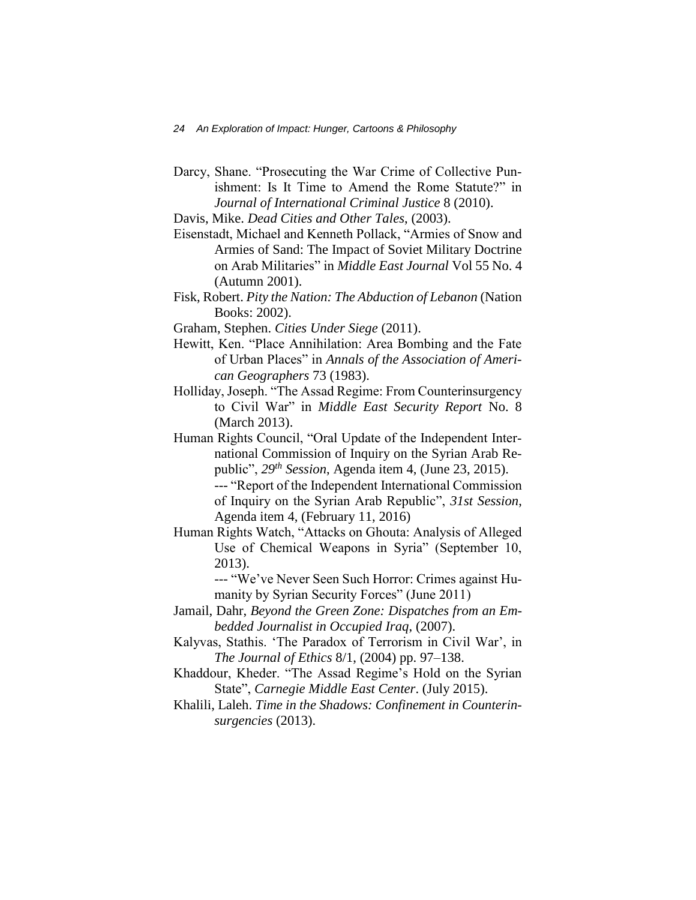Darcy, Shane. "Prosecuting the War Crime of Collective Punishment: Is It Time to Amend the Rome Statute?" in *Journal of International Criminal Justice* 8 (2010).

Davis, Mike. *Dead Cities and Other Tales*, (2003).

- Eisenstadt, Michael and Kenneth Pollack, "Armies of Snow and Armies of Sand: The Impact of Soviet Military Doctrine on Arab Militaries" in *Middle East Journal* Vol 55 No. 4 (Autumn 2001).
- Fisk, Robert. *Pity the Nation: The Abduction of Lebanon* (Nation Books: 2002).
- Graham, Stephen. *Cities Under Siege* (2011).
- Hewitt, Ken. "Place Annihilation: Area Bombing and the Fate of Urban Places" in *Annals of the Association of American Geographers* 73 (1983).
- Holliday, Joseph. "The Assad Regime: From Counterinsurgency to Civil War" in *Middle East Security Report* No. 8 (March 2013).
- Human Rights Council, "Oral Update of the Independent International Commission of Inquiry on the Syrian Arab Republic", *29th Session*, Agenda item 4, (June 23, 2015). --- "Report of the Independent International Commission of Inquiry on the Syrian Arab Republic", *31st Session*, Agenda item 4, (February 11, 2016)
- Human Rights Watch, "Attacks on Ghouta: Analysis of Alleged Use of Chemical Weapons in Syria" (September 10, 2013).
	- --- "We've Never Seen Such Horror: Crimes against Humanity by Syrian Security Forces" (June 2011)
- Jamail, Dahr, *Beyond the Green Zone: Dispatches from an Embedded Journalist in Occupied Iraq*, (2007).
- Kalyvas, Stathis. 'The Paradox of Terrorism in Civil War', in *The Journal of Ethics* 8/1, (2004) pp. 97–138.
- Khaddour, Kheder. "The Assad Regime's Hold on the Syrian State", *Carnegie Middle East Center*. (July 2015).
- Khalili, Laleh. *Time in the Shadows: Confinement in Counterinsurgencies* (2013).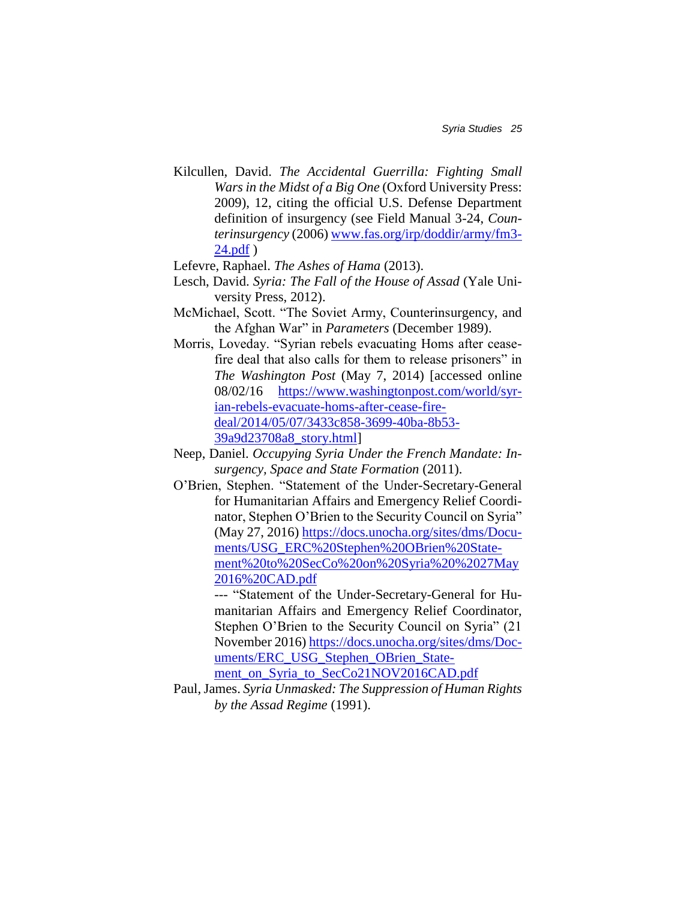- Kilcullen, David. *The Accidental Guerrilla: Fighting Small Wars in the Midst of a Big One* (Oxford University Press: 2009), 12, citing the official U.S. Defense Department definition of insurgency (see Field Manual 3-24, *Counterinsurgency* (2006) [www.fas.org/irp/doddir/army/fm3-](http://www.fas.org/irp/doddir/army/fm3-24.pdf) [24.pdf](http://www.fas.org/irp/doddir/army/fm3-24.pdf) )
- Lefevre, Raphael. *The Ashes of Hama* (2013).
- Lesch, David. *Syria: The Fall of the House of Assad* (Yale University Press, 2012).
- McMichael, Scott. "The Soviet Army, Counterinsurgency, and the Afghan War" in *Parameters* (December 1989).
- Morris, Loveday. "Syrian rebels evacuating Homs after ceasefire deal that also calls for them to release prisoners" in *The Washington Post* (May 7, 2014) [accessed online 08/02/16 [https://www.washingtonpost.com/world/syr](https://www.washingtonpost.com/world/syrian-rebels-evacuate-homs-after-cease-fire-deal/2014/05/07/3433c858-3699-40ba-8b53-39a9d23708a8_story.html)[ian-rebels-evacuate-homs-after-cease-fire](https://www.washingtonpost.com/world/syrian-rebels-evacuate-homs-after-cease-fire-deal/2014/05/07/3433c858-3699-40ba-8b53-39a9d23708a8_story.html)[deal/2014/05/07/3433c858-3699-40ba-8b53-](https://www.washingtonpost.com/world/syrian-rebels-evacuate-homs-after-cease-fire-deal/2014/05/07/3433c858-3699-40ba-8b53-39a9d23708a8_story.html) [39a9d23708a8\\_story.html\]](https://www.washingtonpost.com/world/syrian-rebels-evacuate-homs-after-cease-fire-deal/2014/05/07/3433c858-3699-40ba-8b53-39a9d23708a8_story.html)
- Neep, Daniel. *Occupying Syria Under the French Mandate: Insurgency, Space and State Formation* (2011).
- O'Brien, Stephen. "Statement of the Under-Secretary-General for Humanitarian Affairs and Emergency Relief Coordinator, Stephen O'Brien to the Security Council on Syria" (May 27, 2016) [https://docs.unocha.org/sites/dms/Docu](https://docs.unocha.org/sites/dms/Documents/USG_ERC%20Stephen%20OBrien%20Statement%20to%20SecCo%20on%20Syria%20%2027May2016%20CAD.pdf)[ments/USG\\_ERC%20Stephen%20OBrien%20State](https://docs.unocha.org/sites/dms/Documents/USG_ERC%20Stephen%20OBrien%20Statement%20to%20SecCo%20on%20Syria%20%2027May2016%20CAD.pdf)[ment%20to%20SecCo%20on%20Syria%20%2027May](https://docs.unocha.org/sites/dms/Documents/USG_ERC%20Stephen%20OBrien%20Statement%20to%20SecCo%20on%20Syria%20%2027May2016%20CAD.pdf) [2016%20CAD.pdf](https://docs.unocha.org/sites/dms/Documents/USG_ERC%20Stephen%20OBrien%20Statement%20to%20SecCo%20on%20Syria%20%2027May2016%20CAD.pdf)

--- "Statement of the Under-Secretary-General for Humanitarian Affairs and Emergency Relief Coordinator, Stephen O'Brien to the Security Council on Syria" (21 November 2016) [https://docs.unocha.org/sites/dms/Doc](https://docs.unocha.org/sites/dms/Documents/ERC_USG_Stephen_OBrien_Statement_on_Syria_to_SecCo21NOV2016CAD.pdf)[uments/ERC\\_USG\\_Stephen\\_OBrien\\_State](https://docs.unocha.org/sites/dms/Documents/ERC_USG_Stephen_OBrien_Statement_on_Syria_to_SecCo21NOV2016CAD.pdf)[ment\\_on\\_Syria\\_to\\_SecCo21NOV2016CAD.pdf](https://docs.unocha.org/sites/dms/Documents/ERC_USG_Stephen_OBrien_Statement_on_Syria_to_SecCo21NOV2016CAD.pdf)

Paul, James. *Syria Unmasked: The Suppression of Human Rights by the Assad Regime* (1991).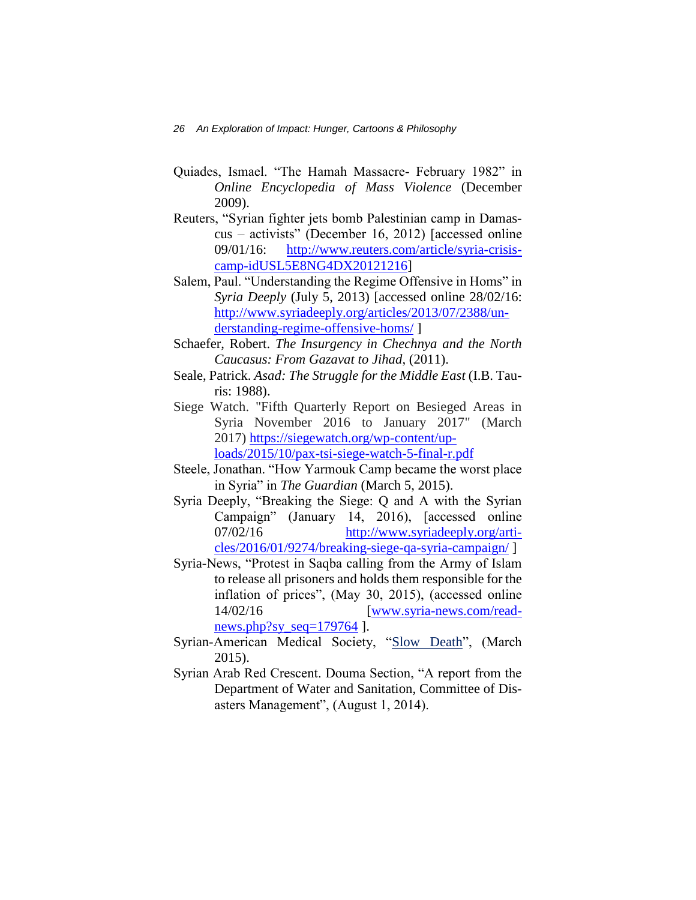- Quiades, Ismael. "The Hamah Massacre- February 1982" in *Online Encyclopedia of Mass Violence* (December 2009).
- Reuters, "Syrian fighter jets bomb Palestinian camp in Damascus – activists" (December 16, 2012) [accessed online 09/01/16: [http://www.reuters.com/article/syria-crisis](http://www.reuters.com/article/syria-crisis-camp-idUSL5E8NG4DX20121216)[camp-idUSL5E8NG4DX20121216\]](http://www.reuters.com/article/syria-crisis-camp-idUSL5E8NG4DX20121216)
- Salem, Paul. "Understanding the Regime Offensive in Homs" in *Syria Deeply* (July 5, 2013) [accessed online 28/02/16: [http://www.syriadeeply.org/articles/2013/07/2388/un](http://www.syriadeeply.org/articles/2013/07/2388/understanding-regime-offensive-homs/)[derstanding-regime-offensive-homs/](http://www.syriadeeply.org/articles/2013/07/2388/understanding-regime-offensive-homs/) ]
- Schaefer, Robert. *The Insurgency in Chechnya and the North Caucasus: From Gazavat to Jihad*, (2011).
- Seale, Patrick. *Asad: The Struggle for the Middle East* (I.B. Tauris: 1988).
- Siege Watch. "Fifth Quarterly Report on Besieged Areas in Syria November 2016 to January 2017" (March 2017) [https://siegewatch.org/wp-content/up](https://siegewatch.org/wp-content/uploads/2015/10/pax-tsi-siege-watch-5-final-r.pdf)[loads/2015/10/pax-tsi-siege-watch-5-final-r.pdf](https://siegewatch.org/wp-content/uploads/2015/10/pax-tsi-siege-watch-5-final-r.pdf)
- Steele, Jonathan. "How Yarmouk Camp became the worst place in Syria" in *The Guardian* (March 5, 2015).
- Syria Deeply, "Breaking the Siege: Q and A with the Syrian Campaign" (January 14, 2016), [accessed online 07/02/16 [http://www.syriadeeply.org/arti](http://www.syriadeeply.org/articles/2016/01/9274/breaking-siege-qa-syria-campaign/)[cles/2016/01/9274/breaking-siege-qa-syria-campaign/](http://www.syriadeeply.org/articles/2016/01/9274/breaking-siege-qa-syria-campaign/) ]
- Syria-News, "Protest in Saqba calling from the Army of Islam to release all prisoners and holds them responsible for the inflation of prices", (May 30, 2015), (accessed online 14/02/16 [\[www.syria-news.com/read](http://www.syria-news.com/readnews.php?sy_seq=179764)news.php?sy\_seq= $179764$  ].
- Syrian-American Medical Society, ["Slow Death"](https://www.sams-usa.net/foundation/images/PDFs/Slow%20Death_Syria%20Under%20Siege.pdf), (March 2015).
- Syrian Arab Red Crescent. Douma Section, "A report from the Department of Water and Sanitation, Committee of Disasters Management", (August 1, 2014).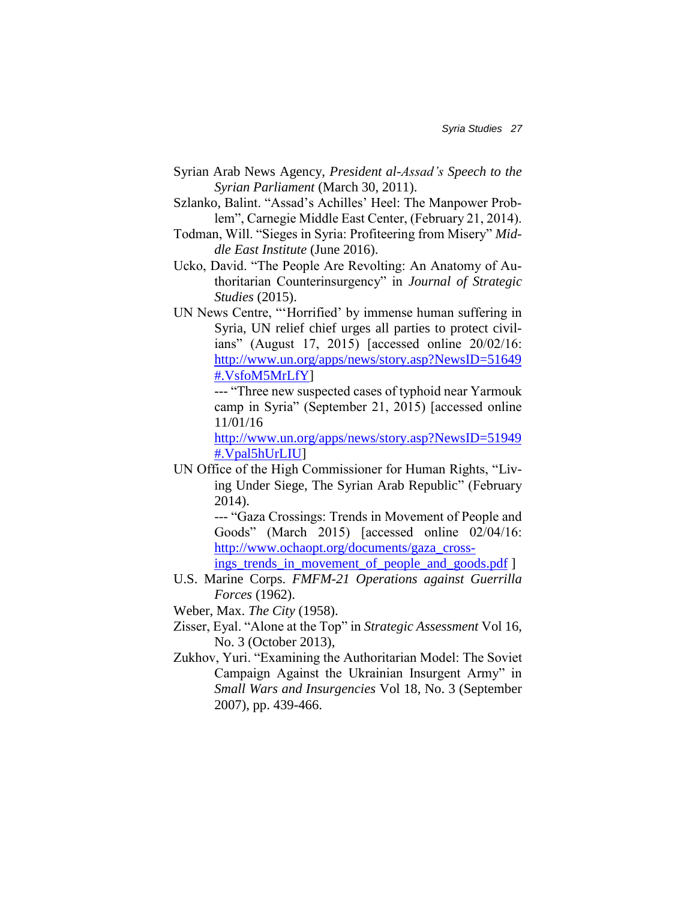- Syrian Arab News Agency, *President al-Assad's Speech to the Syrian Parliament* (March 30, 2011).
- Szlanko, Balint. "Assad's Achilles' Heel: The Manpower Problem", Carnegie Middle East Center, (February 21, 2014).
- Todman, Will. "Sieges in Syria: Profiteering from Misery" *Middle East Institute* (June 2016).
- Ucko, David. "The People Are Revolting: An Anatomy of Authoritarian Counterinsurgency" in *Journal of Strategic Studies* (2015).
- UN News Centre, "'Horrified' by immense human suffering in Syria, UN relief chief urges all parties to protect civilians" (August 17, 2015) [accessed online 20/02/16: [http://www.un.org/apps/news/story.asp?NewsID=51649](http://www.un.org/apps/news/story.asp?NewsID=51649#.VsfoM5MrLfY) [#.VsfoM5MrLfY\]](http://www.un.org/apps/news/story.asp?NewsID=51649#.VsfoM5MrLfY)

--- "Three new suspected cases of typhoid near Yarmouk camp in Syria" (September 21, 2015) [accessed online 11/01/16

[http://www.un.org/apps/news/story.asp?NewsID=51949](http://www.un.org/apps/news/story.asp?NewsID=51949#.Vpal5hUrLIU) [#.Vpal5hUrLIU\]](http://www.un.org/apps/news/story.asp?NewsID=51949#.Vpal5hUrLIU)

UN Office of the High Commissioner for Human Rights, ["Liv](http://www.ohchr.org/documents/countries/sy/livingundersiege.pdf)[ing Under Siege, The Syrian Arab Republic"](http://www.ohchr.org/documents/countries/sy/livingundersiege.pdf) (February 2014).

> --- "Gaza Crossings: Trends in Movement of People and Goods" (March 2015) [accessed online 02/04/16: [http://www.ochaopt.org/documents/gaza\\_cross-](http://www.ochaopt.org/documents/gaza_crossings_trends_in_movement_of_people_and_goods.pdf)

ings trends in movement of people and goods.pdf ]

- U.S. Marine Corps. *FMFM-21 Operations against Guerrilla Forces* (1962).
- Weber, Max. *The City* (1958).
- Zisser, Eyal. "Alone at the Top" in *Strategic Assessment* Vol 16, No. 3 (October 2013),
- Zukhov, Yuri. "Examining the Authoritarian Model: The Soviet Campaign Against the Ukrainian Insurgent Army" in *Small Wars and Insurgencies* Vol 18, No. 3 (September 2007), pp. 439-466.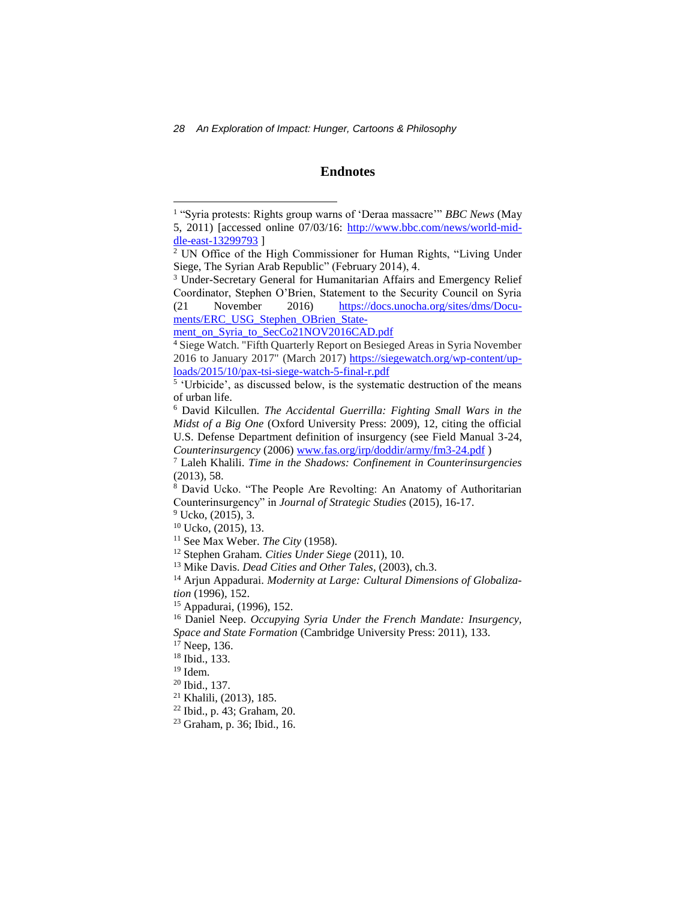*28 An Exploration of Impact: Hunger, Cartoons & Philosophy*

### **Endnotes**

[ments/ERC\\_USG\\_Stephen\\_OBrien\\_State-](https://docs.unocha.org/sites/dms/Documents/ERC_USG_Stephen_OBrien_Statement_on_Syria_to_SecCo21NOV2016CAD.pdf)

 $9$  Ucko,  $(2015)$ , 3.

l

- <sup>21</sup> Khalili, (2013), 185.
- <sup>22</sup> Ibid., p. 43; Graham, 20.

<sup>&</sup>lt;sup>1</sup> "Syria protests: Rights group warns of 'Deraa massacre'" *BBC News* (May 5, 2011) [accessed online 07/03/16: [http://www.bbc.com/news/world-mid](http://www.bbc.com/news/world-middle-east-13299793)[dle-east-13299793](http://www.bbc.com/news/world-middle-east-13299793) ]

<sup>2</sup> UN Office of the High Commissioner for Human Rights, ["Living Under](http://www.ohchr.org/documents/countries/sy/livingundersiege.pdf)  [Siege, The Syrian Arab Republic"](http://www.ohchr.org/documents/countries/sy/livingundersiege.pdf) (February 2014), 4.

<sup>&</sup>lt;sup>3</sup> Under-Secretary General for Humanitarian Affairs and Emergency Relief Coordinator, Stephen O'Brien, Statement to the Security Council on Syria (21 November 2016) [https://docs.unocha.org/sites/dms/Docu-](https://docs.unocha.org/sites/dms/Documents/ERC_USG_Stephen_OBrien_Statement_on_Syria_to_SecCo21NOV2016CAD.pdf)

[ment\\_on\\_Syria\\_to\\_SecCo21NOV2016CAD.pdf](https://docs.unocha.org/sites/dms/Documents/ERC_USG_Stephen_OBrien_Statement_on_Syria_to_SecCo21NOV2016CAD.pdf)

<sup>4</sup> Siege Watch. "Fifth Quarterly Report on Besieged Areas in Syria November 2016 to January 2017" (March 2017) [https://siegewatch.org/wp-content/up](https://siegewatch.org/wp-content/uploads/2015/10/pax-tsi-siege-watch-5-final-r.pdf)[loads/2015/10/pax-tsi-siege-watch-5-final-r.pdf](https://siegewatch.org/wp-content/uploads/2015/10/pax-tsi-siege-watch-5-final-r.pdf)

<sup>&</sup>lt;sup>5</sup> 'Urbicide', as discussed below, is the systematic destruction of the means of urban life.

<sup>6</sup> David Kilcullen. *The Accidental Guerrilla: Fighting Small Wars in the Midst of a Big One* (Oxford University Press: 2009), 12, citing the official U.S. Defense Department definition of insurgency (see Field Manual 3-24, *Counterinsurgency* (2006) [www.fas.org/irp/doddir/army/fm3-24.pdf](http://www.fas.org/irp/doddir/army/fm3-24.pdf) )

<sup>7</sup> Laleh Khalili. *Time in the Shadows: Confinement in Counterinsurgencies* (2013), 58.

<sup>8</sup> David Ucko. "The People Are Revolting: An Anatomy of Authoritarian Counterinsurgency" in *Journal of Strategic Studies* (2015), 16-17.

 $10$  Ucko,  $(2015)$ , 13.

<sup>&</sup>lt;sup>11</sup> See Max Weber. *The City* (1958).

<sup>12</sup> Stephen Graham. *Cities Under Siege* (2011), 10.

<sup>13</sup> Mike Davis. *Dead Cities and Other Tales*, (2003), ch.3.

<sup>14</sup> Arjun Appadurai. *Modernity at Large: Cultural Dimensions of Globalization* (1996), 152.

<sup>15</sup> Appadurai, (1996), 152.

<sup>16</sup> Daniel Neep. *Occupying Syria Under the French Mandate: Insurgency, Space and State Formation* (Cambridge University Press: 2011), 133.

<sup>17</sup> Neep, 136.

<sup>18</sup> Ibid., 133.

 $19$  Idem.

<sup>20</sup> Ibid., 137.

<sup>23</sup> Graham, p. 36; Ibid., 16.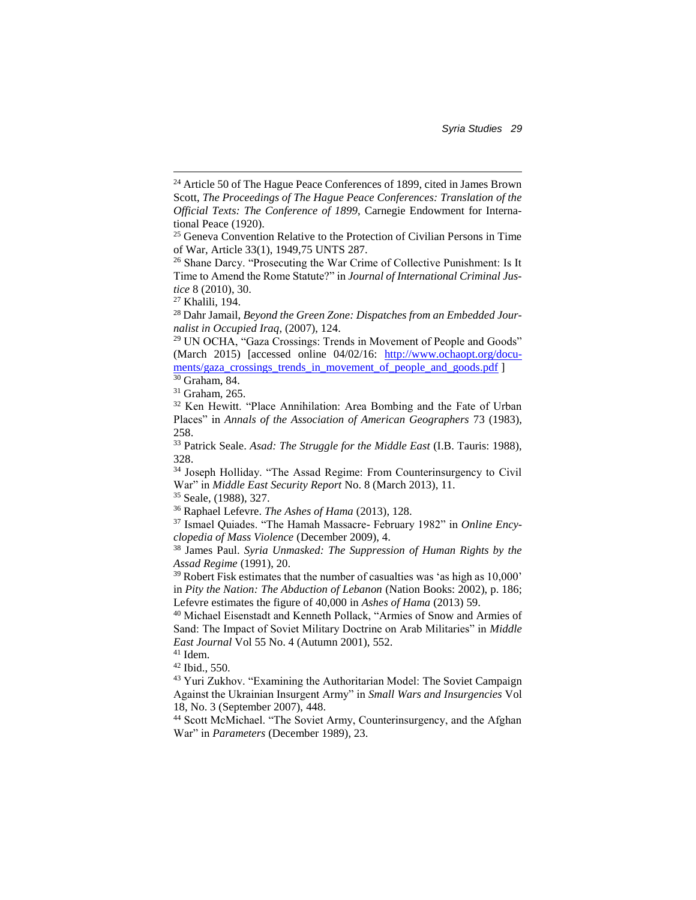*Syria Studies 29*

 $\overline{\phantom{a}}$ 

<sup>28</sup> Dahr Jamail, *Beyond the Green Zone: Dispatches from an Embedded Journalist in Occupied Iraq*, (2007), 124.

<sup>29</sup> UN OCHA, "Gaza Crossings: Trends in Movement of People and Goods" (March 2015) [accessed online 04/02/16: [http://www.ochaopt.org/docu](http://www.ochaopt.org/documents/gaza_crossings_trends_in_movement_of_people_and_goods.pdf)[ments/gaza\\_crossings\\_trends\\_in\\_movement\\_of\\_people\\_and\\_goods.pdf](http://www.ochaopt.org/documents/gaza_crossings_trends_in_movement_of_people_and_goods.pdf) ]

<sup>30</sup> Graham, 84.

<sup>31</sup> Graham, 265.

<sup>32</sup> Ken Hewitt. "Place Annihilation: Area Bombing and the Fate of Urban Places" in *Annals of the Association of American Geographers* 73 (1983), 258.

<sup>33</sup> Patrick Seale. *Asad: The Struggle for the Middle East* (I.B. Tauris: 1988), 328.

<sup>34</sup> Joseph Holliday. "The Assad Regime: From Counterinsurgency to Civil War" in *Middle East Security Report* No. 8 (March 2013), 11.

<sup>35</sup> Seale, (1988), 327.

<sup>36</sup> Raphael Lefevre. *The Ashes of Hama* (2013), 128.

<sup>37</sup> Ismael Quiades. "The Hamah Massacre- February 1982" in *Online Encyclopedia of Mass Violence* (December 2009), 4.

<sup>38</sup> James Paul. *Syria Unmasked: The Suppression of Human Rights by the Assad Regime* (1991), 20.

<sup>39</sup> Robert Fisk estimates that the number of casualties was 'as high as 10,000' in *Pity the Nation: The Abduction of Lebanon* (Nation Books: 2002), p. 186; Lefevre estimates the figure of 40,000 in *Ashes of Hama* (2013) 59.

<sup>40</sup> Michael Eisenstadt and Kenneth Pollack, "Armies of Snow and Armies of Sand: The Impact of Soviet Military Doctrine on Arab Militaries" in *Middle East Journal* Vol 55 No. 4 (Autumn 2001), 552.

 $41$  Idem.

<sup>42</sup> Ibid., 550.

<sup>43</sup> Yuri Zukhov. "Examining the Authoritarian Model: The Soviet Campaign Against the Ukrainian Insurgent Army" in *Small Wars and Insurgencies* Vol 18, No. 3 (September 2007), 448.

<sup>44</sup> Scott McMichael. "The Soviet Army, Counterinsurgency, and the Afghan War" in *Parameters* (December 1989), 23.

<sup>&</sup>lt;sup>24</sup> Article 50 of The Hague Peace Conferences of 1899, cited in James Brown Scott, *The Proceedings of The Hague Peace Conferences: Translation of the Official Texts: The Conference of 1899*, Carnegie Endowment for International Peace (1920).

 $25$  Geneva Convention Relative to the Protection of Civilian Persons in Time of War, Article 33(1), 1949,75 UNTS 287.

<sup>&</sup>lt;sup>26</sup> Shane Darcy. "Prosecuting the War Crime of Collective Punishment: Is It Time to Amend the Rome Statute?" in *Journal of International Criminal Justice* 8 (2010), 30.

<sup>27</sup> Khalili, 194.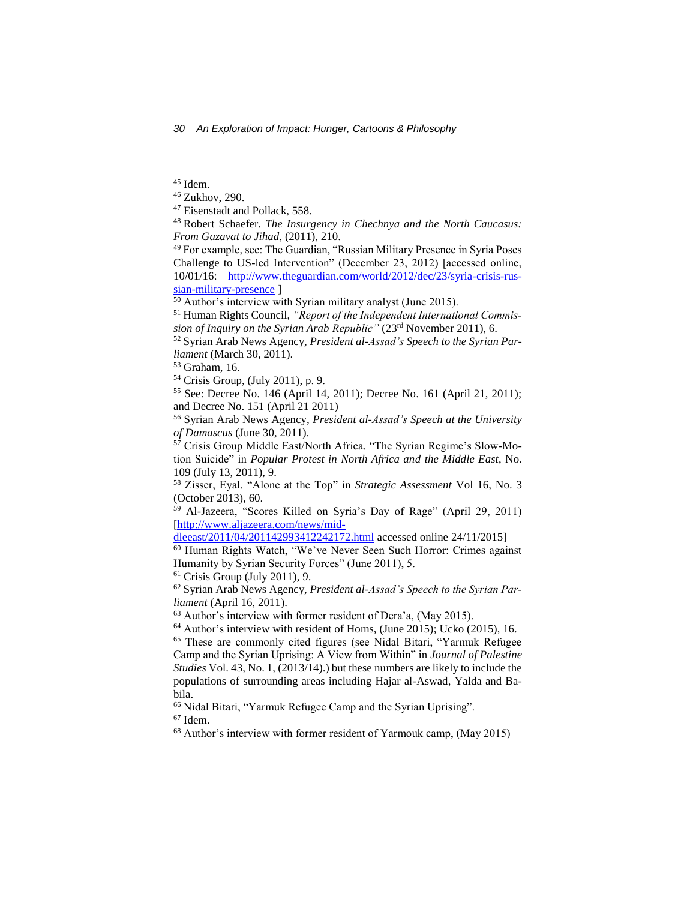$\overline{\phantom{a}}$ 

 $61$  Crisis Group (July 2011), 9.

<sup>62</sup> Syrian Arab News Agency, *President al-Assad's Speech to the Syrian Parliament* (April 16, 2011).

<sup>63</sup> Author's interview with former resident of Dera'a, (May 2015).

<sup>66</sup> Nidal Bitari, "Yarmuk Refugee Camp and the Syrian Uprising".

<sup>67</sup> Idem.

<sup>68</sup> Author's interview with former resident of Yarmouk camp, (May 2015)

<sup>45</sup> Idem.

<sup>46</sup> Zukhov, 290.

<sup>47</sup> Eisenstadt and Pollack, 558.

<sup>48</sup> Robert Schaefer. *The Insurgency in Chechnya and the North Caucasus: From Gazavat to Jihad*, (2011), 210.

<sup>49</sup> For example, see: The Guardian, "Russian Military Presence in Syria Poses Challenge to US-led Intervention" (December 23, 2012) [accessed online, 10/01/16: [http://www.theguardian.com/world/2012/dec/23/syria-crisis-rus](http://www.theguardian.com/world/2012/dec/23/syria-crisis-russian-military-presence)[sian-military-presence](http://www.theguardian.com/world/2012/dec/23/syria-crisis-russian-military-presence) ]

 $\frac{50}{10}$  Author's interview with Syrian military analyst (June 2015).

<sup>51</sup> Human Rights Council, *"Report of the Independent International Commission of Inquiry on the Syrian Arab Republic"* (23rd November 2011), 6.

<sup>52</sup> Syrian Arab News Agency, *President al-Assad's Speech to the Syrian Parliament* (March 30, 2011).

<sup>53</sup> Graham, 16.

<sup>54</sup> Crisis Group, (July 2011), p. 9.

<sup>55</sup> See: Decree No. 146 (April 14, 2011); Decree No. 161 (April 21, 2011); and Decree No. 151 (April 21 2011)

<sup>56</sup> Syrian Arab News Agency, *President al-Assad's Speech at the University of Damascus* (June 30, 2011).

<sup>&</sup>lt;sup>57</sup> Crisis Group Middle East/North Africa. "The Syrian Regime's Slow-Motion Suicide" in *Popular Protest in North Africa and the Middle East*, No. 109 (July 13, 2011), 9.

<sup>58</sup> Zisser, Eyal. "Alone at the Top" in *Strategic Assessment* Vol 16, No. 3 (October 2013), 60.

<sup>59</sup> Al-Jazeera, "Scores Killed on Syria's Day of Rage" (April 29, 2011) [\[http://www.aljazeera.com/news/mid-](http://www.aljazeera.com/news/middleeast/2011/04/201142993412242172.html)

[dleeast/2011/04/201142993412242172.html](http://www.aljazeera.com/news/middleeast/2011/04/201142993412242172.html) accessed online 24/11/2015]

<sup>60</sup> Human Rights Watch, "We've Never Seen Such Horror: Crimes against Humanity by Syrian Security Forces" (June 2011), 5.

 $64$  Author's interview with resident of Homs, (June 2015); Ucko (2015), 16.

<sup>65</sup> These are commonly cited figures (see Nidal Bitari, "Yarmuk Refugee Camp and the Syrian Uprising: A View from Within" in *Journal of Palestine Studies* Vol. 43, No. 1, (2013/14).) but these numbers are likely to include the populations of surrounding areas including Hajar al-Aswad, Yalda and Babila.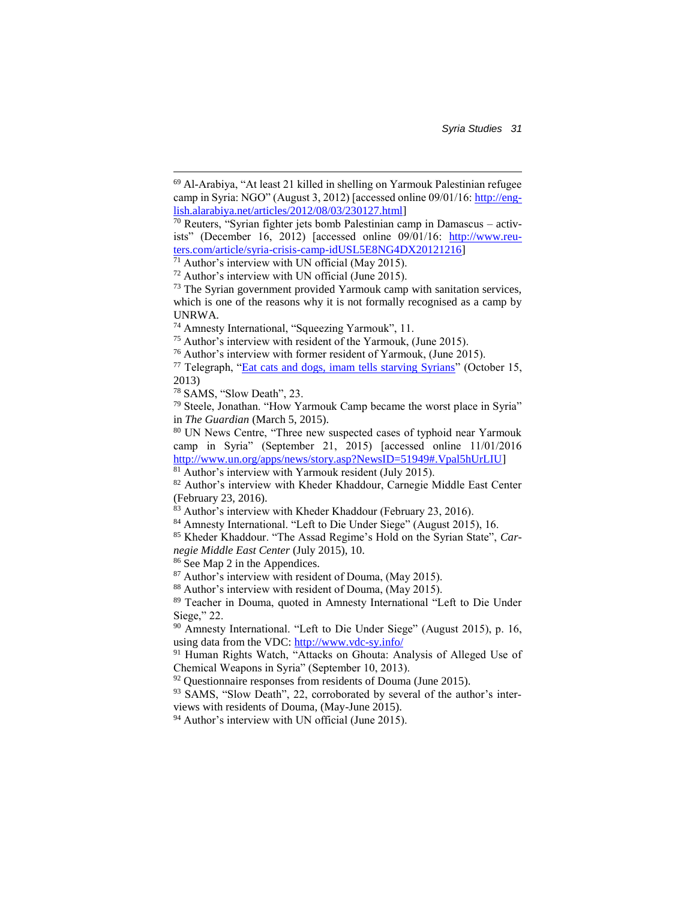*Syria Studies 31*

 $\overline{\phantom{a}}$ 

86 See Map 2 in the Appendices.

<sup>87</sup> Author's interview with resident of Douma, (May 2015).

<sup>88</sup> Author's interview with resident of Douma, (May 2015).

<sup>89</sup> Teacher in Douma, quoted in Amnesty International "Left to Die Under Siege," 22.

<sup>90</sup> Amnesty International. "Left to Die Under Siege" (August 2015), p. 16, using data from the VDC:<http://www.vdc-sy.info/>

<sup>91</sup> Human Rights Watch, "Attacks on Ghouta: Analysis of Alleged Use of Chemical Weapons in Syria" (September 10, 2013).

 $92$  Questionnaire responses from residents of Douma (June 2015).

93 SAMS, "Slow Death", 22, corroborated by several of the author's interviews with residents of Douma, (May-June 2015).

<sup>94</sup> Author's interview with UN official (June 2015).

<sup>69</sup> Al-Arabiya, "At least 21 killed in shelling on Yarmouk Palestinian refugee camp in Syria: NGO" (August 3, 2012) [accessed online 09/01/16[: http://eng](http://english.alarabiya.net/articles/2012/08/03/230127.html)[lish.alarabiya.net/articles/2012/08/03/230127.html\]](http://english.alarabiya.net/articles/2012/08/03/230127.html)

 $70$  Reuters, "Syrian fighter jets bomb Palestinian camp in Damascus – activists" (December 16, 2012) [accessed online 09/01/16: [http://www.reu](http://www.reuters.com/article/syria-crisis-camp-idUSL5E8NG4DX20121216)[ters.com/article/syria-crisis-camp-idUSL5E8NG4DX20121216\]](http://www.reuters.com/article/syria-crisis-camp-idUSL5E8NG4DX20121216)

 $71$  Author's interview with UN official (May 2015).

 $72$  Author's interview with UN official (June 2015).

<sup>&</sup>lt;sup>73</sup> The Syrian government provided Yarmouk camp with sanitation services, which is one of the reasons why it is not formally recognised as a camp by UNRWA.

<sup>74</sup> Amnesty International, "Squeezing Yarmouk", 11.

<sup>75</sup> Author's interview with resident of the Yarmouk, (June 2015).

<sup>76</sup> Author's interview with former resident of Yarmouk, (June 2015).

<sup>77</sup> Telegraph, ["Eat cats and dogs, imam tells starving Syrians"](http://www.telegraph.co.uk/news/worldnews/middleeast/syria/10381310/Eat-cats-and-dogs-imam-tells-starving-Syrians.html) (October 15, 2013)

<sup>78</sup> SAMS, "Slow Death", 23.

<sup>79</sup> Steele, Jonathan. "How Yarmouk Camp became the worst place in Syria" in *The Guardian* (March 5, 2015).

<sup>80</sup> UN News Centre, "Three new suspected cases of typhoid near Yarmouk camp in Syria" (September 21, 2015) [accessed online 11/01/2016 [http://www.un.org/apps/news/story.asp?NewsID=51949#.Vpal5hUrLIU\]](http://www.un.org/apps/news/story.asp?NewsID=51949#.Vpal5hUrLIU)

 $81$  Author's interview with Yarmouk resident (July 2015).

<sup>82</sup> Author's interview with Kheder Khaddour, Carnegie Middle East Center (February 23, 2016).

<sup>83</sup> Author's interview with Kheder Khaddour (February 23, 2016).

<sup>84</sup> Amnesty International. "Left to Die Under Siege" (August 2015), 16.

<sup>85</sup> Kheder Khaddour. "The Assad Regime's Hold on the Syrian State", *Carnegie Middle East Center* (July 2015), 10.